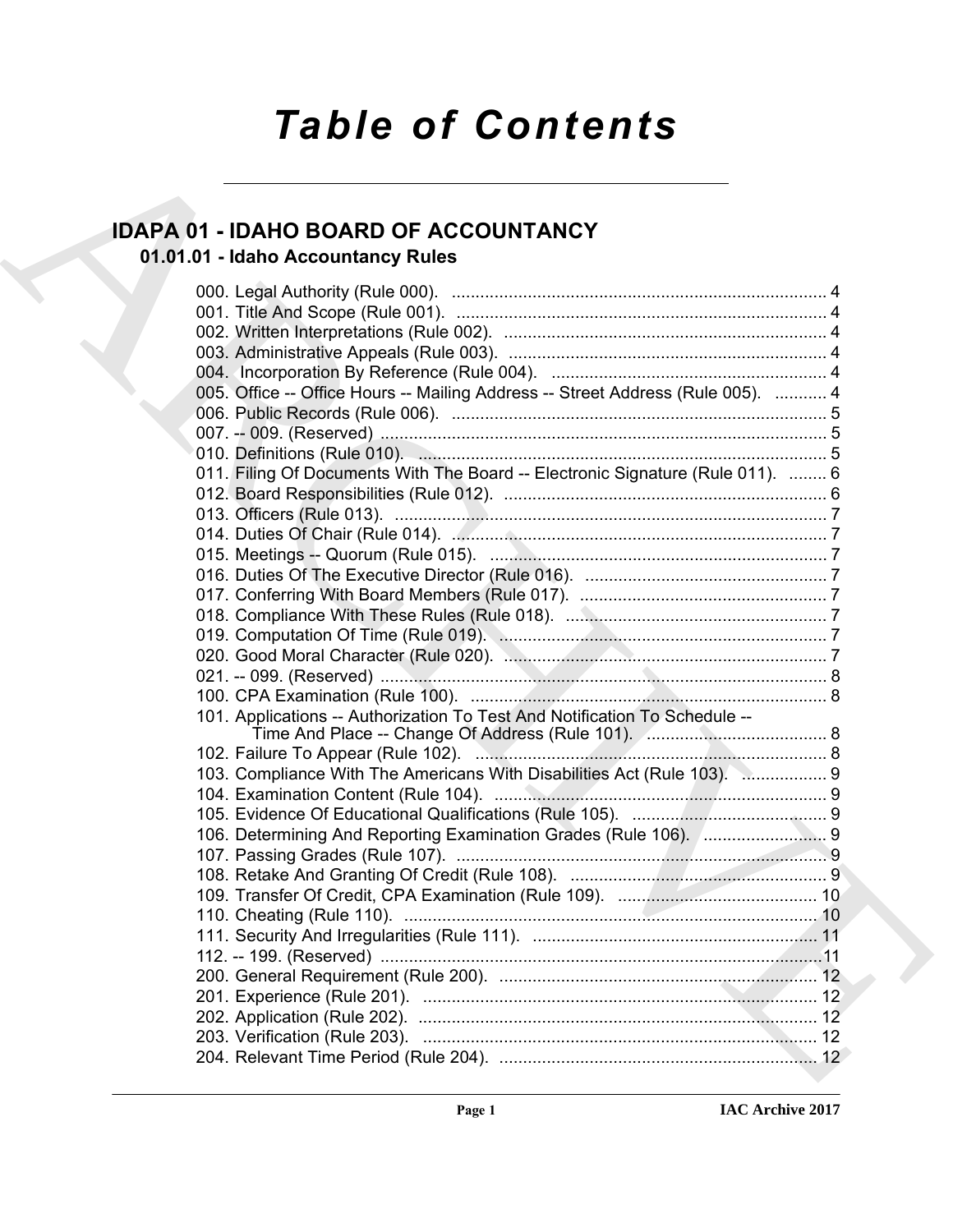# *Table of Contents*

## **IDAPA 01 - IDAHO BOARD OF ACCOUNTANCY**

## **01.01.01 - Idaho Accountancy Rules**

| <b>IDAPA 01 - IDAHO BOARD OF ACCOUNTANCY</b>                                    |  |
|---------------------------------------------------------------------------------|--|
| 01.01.01 - Idaho Accountancy Rules                                              |  |
|                                                                                 |  |
|                                                                                 |  |
|                                                                                 |  |
|                                                                                 |  |
|                                                                                 |  |
| 005. Office -- Office Hours -- Mailing Address -- Street Address (Rule 005).  4 |  |
|                                                                                 |  |
|                                                                                 |  |
|                                                                                 |  |
| 011. Filing Of Documents With The Board -- Electronic Signature (Rule 011).  6  |  |
|                                                                                 |  |
|                                                                                 |  |
|                                                                                 |  |
|                                                                                 |  |
|                                                                                 |  |
|                                                                                 |  |
|                                                                                 |  |
|                                                                                 |  |
|                                                                                 |  |
|                                                                                 |  |
| 101. Applications -- Authorization To Test And Notification To Schedule --      |  |
|                                                                                 |  |
| 103. Compliance With The Americans With Disabilities Act (Rule 103). 2 9        |  |
|                                                                                 |  |
|                                                                                 |  |
|                                                                                 |  |
|                                                                                 |  |
|                                                                                 |  |
|                                                                                 |  |
|                                                                                 |  |
|                                                                                 |  |
|                                                                                 |  |
|                                                                                 |  |
|                                                                                 |  |
|                                                                                 |  |
|                                                                                 |  |
|                                                                                 |  |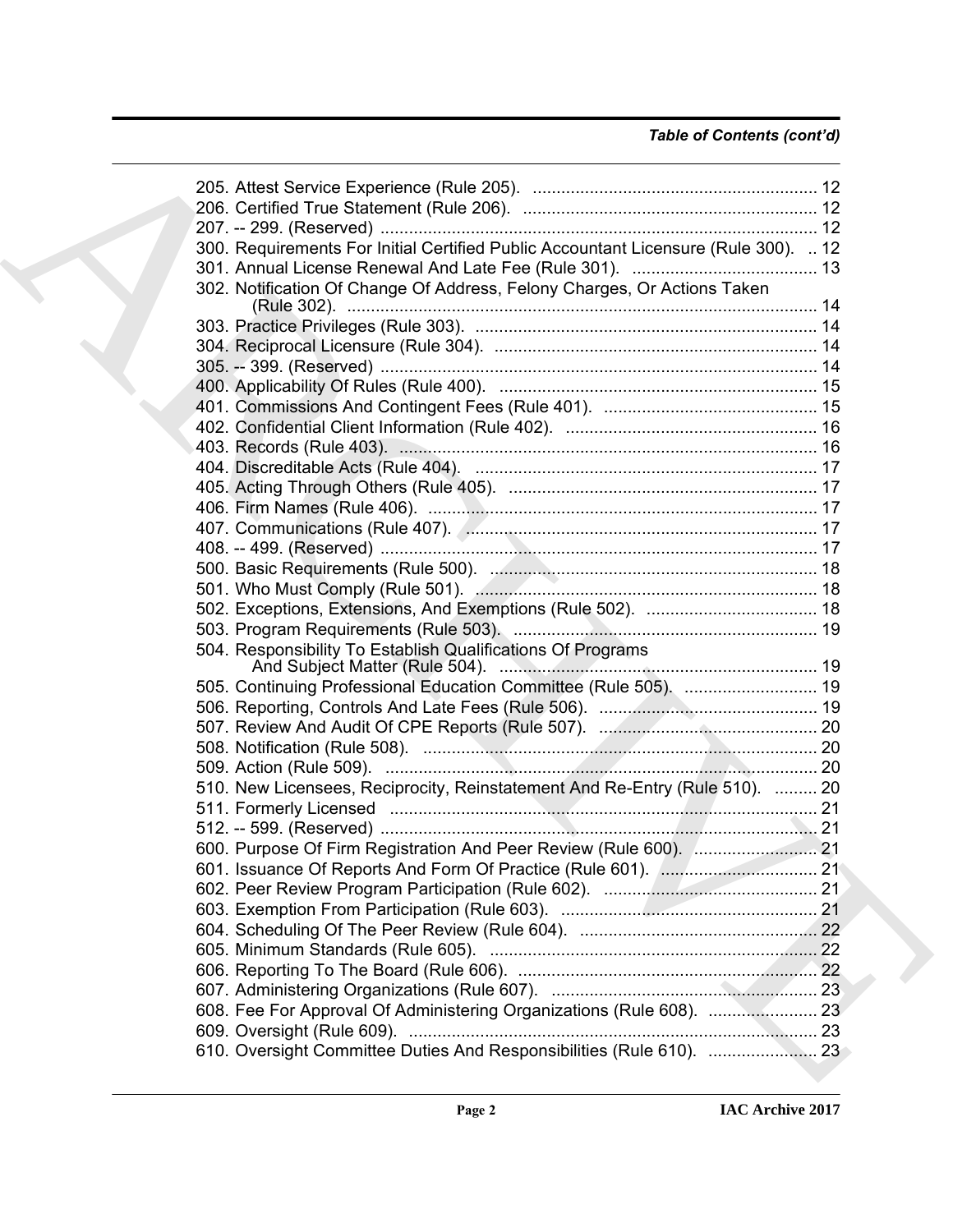### *Table of Contents (cont'd)*

| 300. Requirements For Initial Certified Public Accountant Licensure (Rule 300).  12 |  |
|-------------------------------------------------------------------------------------|--|
|                                                                                     |  |
| 302. Notification Of Change Of Address, Felony Charges, Or Actions Taken            |  |
|                                                                                     |  |
|                                                                                     |  |
|                                                                                     |  |
|                                                                                     |  |
|                                                                                     |  |
|                                                                                     |  |
|                                                                                     |  |
|                                                                                     |  |
|                                                                                     |  |
|                                                                                     |  |
|                                                                                     |  |
|                                                                                     |  |
|                                                                                     |  |
|                                                                                     |  |
|                                                                                     |  |
|                                                                                     |  |
|                                                                                     |  |
| 504. Responsibility To Establish Qualifications Of Programs                         |  |
| 505. Continuing Professional Education Committee (Rule 505).  19                    |  |
|                                                                                     |  |
|                                                                                     |  |
|                                                                                     |  |
|                                                                                     |  |
| 510. New Licensees, Reciprocity, Reinstatement And Re-Entry (Rule 510).  20         |  |
|                                                                                     |  |
|                                                                                     |  |
|                                                                                     |  |
|                                                                                     |  |
|                                                                                     |  |
|                                                                                     |  |
|                                                                                     |  |
|                                                                                     |  |
|                                                                                     |  |
|                                                                                     |  |
|                                                                                     |  |
|                                                                                     |  |
|                                                                                     |  |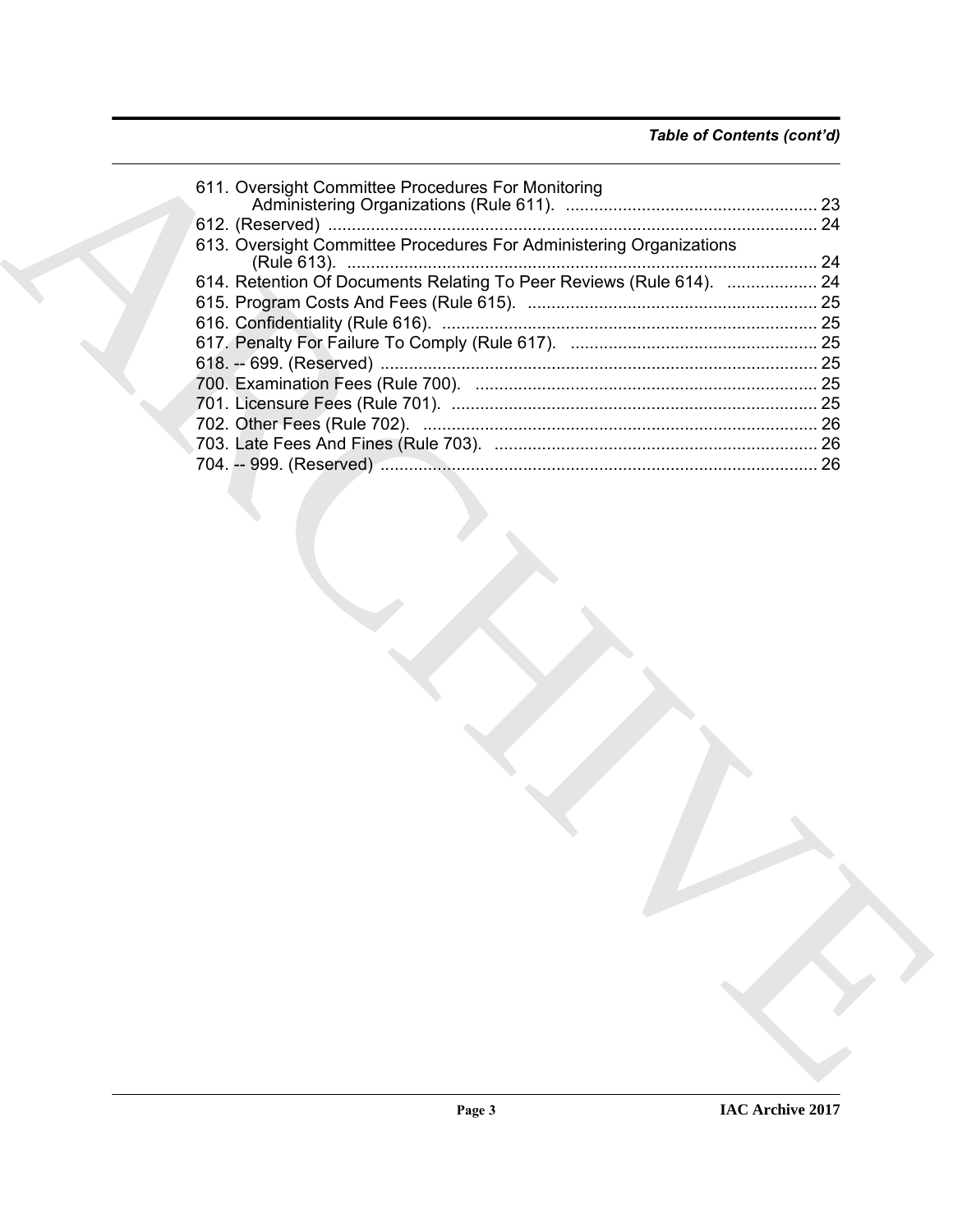| 611. Oversight Committee Procedures For Monitoring                   |
|----------------------------------------------------------------------|
|                                                                      |
|                                                                      |
| 613. Oversight Committee Procedures For Administering Organizations  |
| 614. Retention Of Documents Relating To Peer Reviews (Rule 614).  24 |
|                                                                      |
|                                                                      |
|                                                                      |
|                                                                      |
|                                                                      |
|                                                                      |
|                                                                      |
|                                                                      |
|                                                                      |
|                                                                      |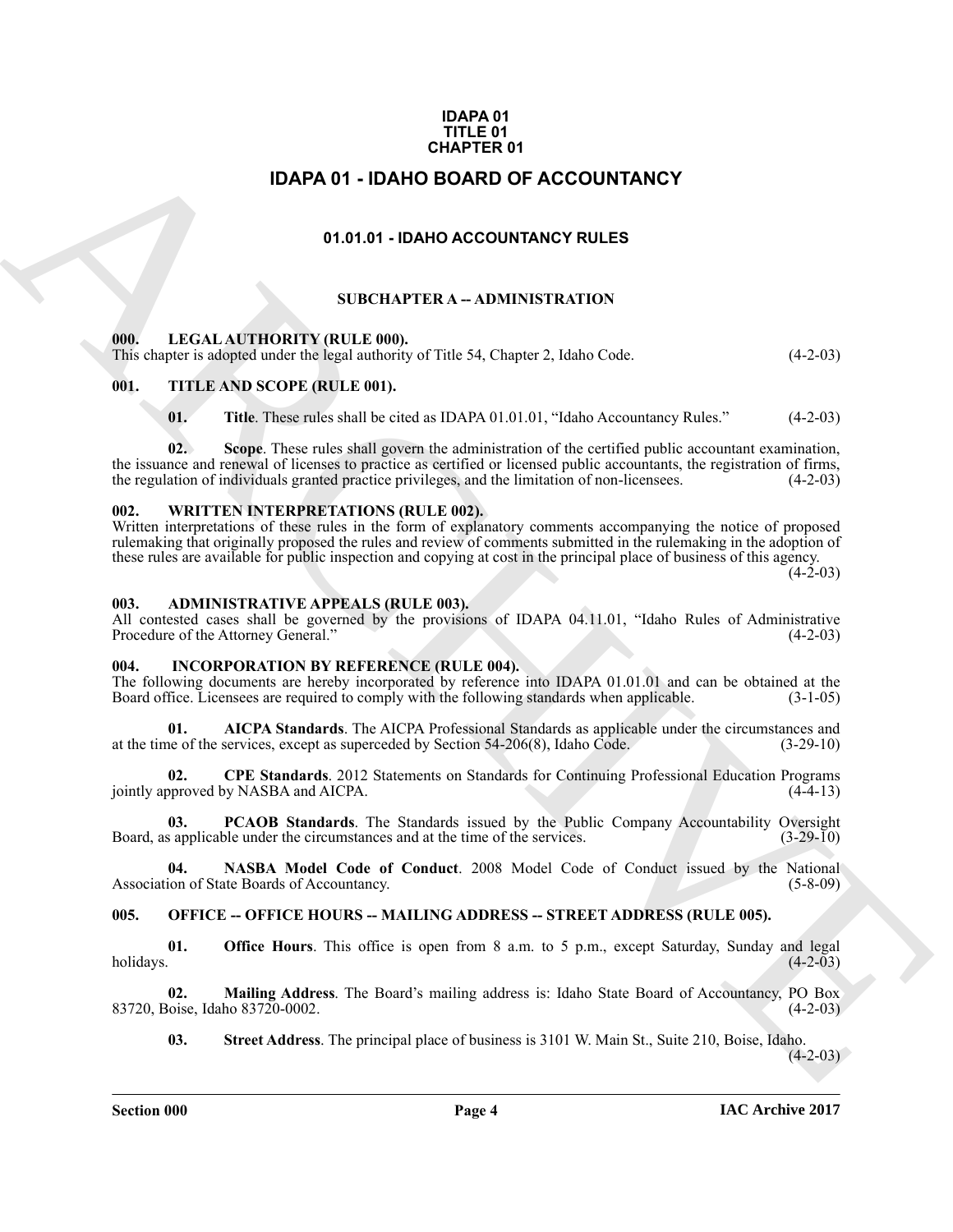#### **IDAPA 01 TITLE 01 CHAPTER 01**

### **IDAPA 01 - IDAHO BOARD OF ACCOUNTANCY**

#### **01.01.01 - IDAHO ACCOUNTANCY RULES**

#### **SUBCHAPTER A -- ADMINISTRATION**

#### <span id="page-3-2"></span><span id="page-3-1"></span>**000. LEGAL AUTHORITY (RULE 000).**

This chapter is adopted under the legal authority of Title 54, Chapter 2, Idaho Code. (4-2-03)

#### <span id="page-3-3"></span>**001. TITLE AND SCOPE (RULE 001).**

**01.** Title. These rules shall be cited as IDAPA 01.01.01, "Idaho Accountancy Rules." (4-2-03)

<span id="page-3-0"></span>**IDAPA 0.1 - IDAHO ACCOUNTANCY**<br> **CHARCHIVE CONTRACT CONTRACT CONTRACT CONTRACT CONTRACT CONTRACT CONTRACT CONTRACT CONTRACT CONTRACT CONTRACT CONTRACT CONTRACT CONTRACT CONTRACT CONTRACT CONTRACT CONTRACT CONTRACT CONTRA 02. Scope**. These rules shall govern the administration of the certified public accountant examination, the issuance and renewal of licenses to practice as certified or licensed public accountants, the registration of firms, the regulation of individuals granted practice privileges, and the limitation of non-licensees. (4-2-03)

#### <span id="page-3-4"></span>**002. WRITTEN INTERPRETATIONS (RULE 002).**

Written interpretations of these rules in the form of explanatory comments accompanying the notice of proposed rulemaking that originally proposed the rules and review of comments submitted in the rulemaking in the adoption of these rules are available for public inspection and copying at cost in the principal place of business of this agency.

 $(4-2-03)$ 

#### <span id="page-3-5"></span>**003. ADMINISTRATIVE APPEALS (RULE 003).**

All contested cases shall be governed by the provisions of IDAPA 04.11.01, "Idaho Rules of Administrative Procedure of the Attorney General." (4-2-03)

#### <span id="page-3-8"></span><span id="page-3-6"></span>**004. INCORPORATION BY REFERENCE (RULE 004).**

The following documents are hereby incorporated by reference into IDAPA 01.01.01 and can be obtained at the Board office. Licensees are required to comply with the following standards when applicable. (3-1-05) Board office. Licensees are required to comply with the following standards when applicable.

**01. AICPA Standards**. The AICPA Professional Standards as applicable under the circumstances and ne of the services, except as superceded by Section 54-206(8). Idaho Code. (3-29-10) at the time of the services, except as superceded by Section  $54-206(8)$ , Idaho Code.

**02. CPE Standards**. 2012 Statements on Standards for Continuing Professional Education Programs jointly approved by NASBA and AICPA. (4-4-13)

**03. PCAOB Standards**. The Standards issued by the Public Company Accountability Oversight is applicable under the circumstances and at the time of the services. (3-29-10) Board, as applicable under the circumstances and at the time of the services.

**04. NASBA Model Code of Conduct**. 2008 Model Code of Conduct issued by the National ion of State Boards of Accountancy. (5-8-09) Association of State Boards of Accountancy.

#### <span id="page-3-7"></span>**005. OFFICE -- OFFICE HOURS -- MAILING ADDRESS -- STREET ADDRESS (RULE 005).**

**01. Office Hours**. This office is open from 8 a.m. to 5 p.m., except Saturday, Sunday and legal holidays. (4-2-03)  $h$ olidays.  $(4-2-03)$ 

**02. Mailing Address**. The Board's mailing address is: Idaho State Board of Accountancy, PO Box 83720, Boise, Idaho 83720-0002.

**03. Street Address**. The principal place of business is 3101 W. Main St., Suite 210, Boise, Idaho.

 $(4-2-03)$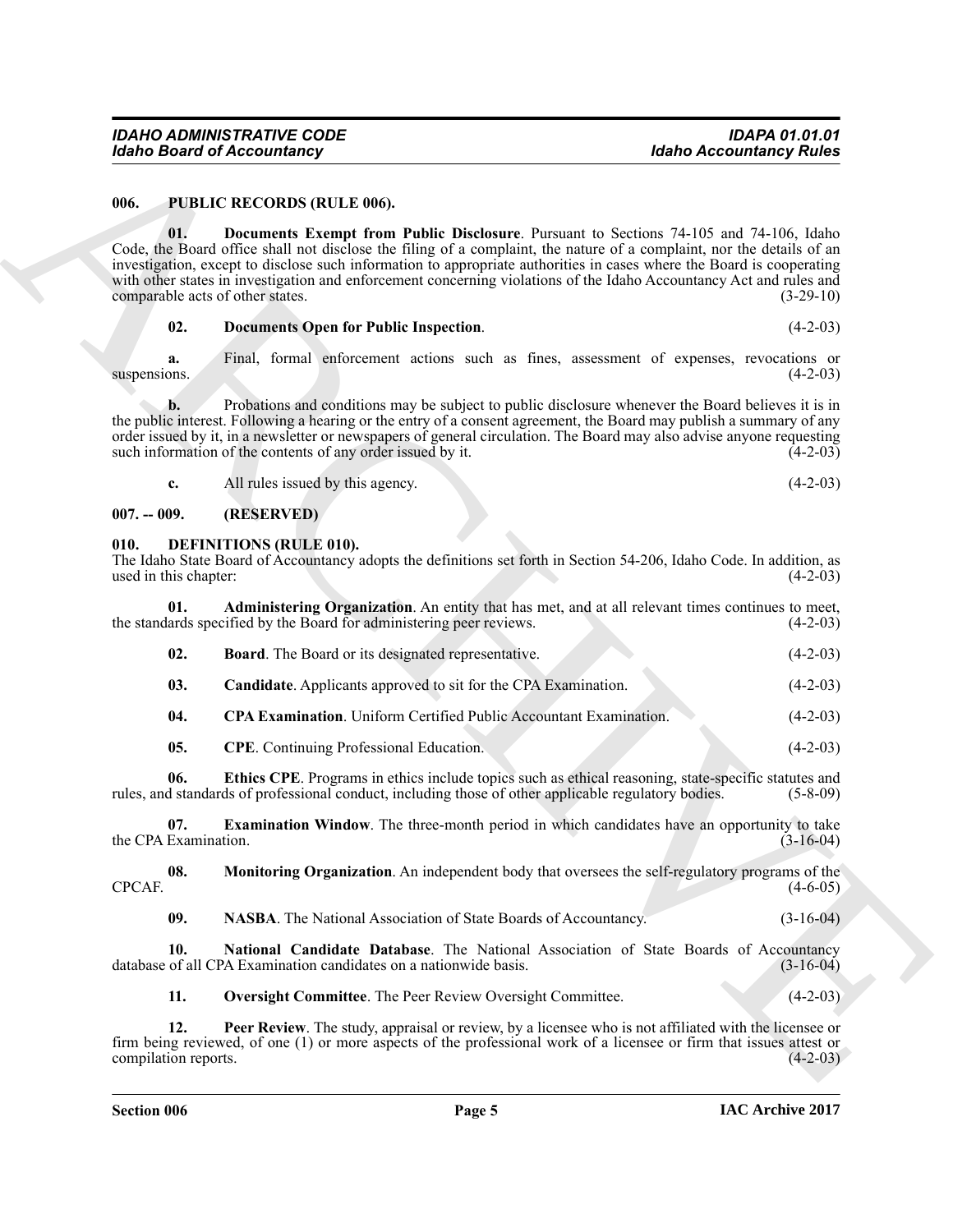#### <span id="page-4-16"></span><span id="page-4-0"></span>**006. PUBLIC RECORDS (RULE 006).**

#### <span id="page-4-1"></span>**007. -- 009. (RESERVED)**

#### <span id="page-4-15"></span><span id="page-4-14"></span><span id="page-4-13"></span><span id="page-4-12"></span><span id="page-4-11"></span><span id="page-4-10"></span><span id="page-4-9"></span><span id="page-4-8"></span><span id="page-4-7"></span><span id="page-4-6"></span><span id="page-4-5"></span><span id="page-4-4"></span><span id="page-4-3"></span><span id="page-4-2"></span>**010. DEFINITIONS (RULE 010).**

|                                         | <b>Idaho Board of Accountancy</b>                                                                                                                                                                                                                                                                                                                                                                                                                               | <b>Idaho Accountancy Rules</b> |
|-----------------------------------------|-----------------------------------------------------------------------------------------------------------------------------------------------------------------------------------------------------------------------------------------------------------------------------------------------------------------------------------------------------------------------------------------------------------------------------------------------------------------|--------------------------------|
| 006.                                    | <b>PUBLIC RECORDS (RULE 006).</b>                                                                                                                                                                                                                                                                                                                                                                                                                               |                                |
| 01.<br>comparable acts of other states. | Documents Exempt from Public Disclosure. Pursuant to Sections 74-105 and 74-106, Idaho<br>Code, the Board office shall not disclose the filing of a complaint, the nature of a complaint, nor the details of an<br>investigation, except to disclose such information to appropriate authorities in cases where the Board is cooperating<br>with other states in investigation and enforcement concerning violations of the Idaho Accountancy Act and rules and | $(3-29-10)$                    |
| 02.                                     | <b>Documents Open for Public Inspection.</b>                                                                                                                                                                                                                                                                                                                                                                                                                    | $(4-2-03)$                     |
| a.<br>suspensions.                      | Final, formal enforcement actions such as fines, assessment of expenses, revocations or                                                                                                                                                                                                                                                                                                                                                                         | $(4-2-03)$                     |
| b.                                      | Probations and conditions may be subject to public disclosure whenever the Board believes it is in<br>the public interest. Following a hearing or the entry of a consent agreement, the Board may publish a summary of any<br>order issued by it, in a newsletter or newspapers of general circulation. The Board may also advise anyone requesting<br>such information of the contents of any order issued by it.                                              | $(4-2-03)$                     |
| c.                                      | All rules issued by this agency.                                                                                                                                                                                                                                                                                                                                                                                                                                | $(4-2-03)$                     |
| $007. - 009.$                           | (RESERVED)                                                                                                                                                                                                                                                                                                                                                                                                                                                      |                                |
| 010.<br>used in this chapter:           | <b>DEFINITIONS (RULE 010).</b><br>The Idaho State Board of Accountancy adopts the definitions set forth in Section 54-206, Idaho Code. In addition, as                                                                                                                                                                                                                                                                                                          | $(4-2-03)$                     |
| 01.                                     | Administering Organization. An entity that has met, and at all relevant times continues to meet,<br>the standards specified by the Board for administering peer reviews.                                                                                                                                                                                                                                                                                        | $(4-2-03)$                     |
| 02.                                     | <b>Board</b> . The Board or its designated representative.                                                                                                                                                                                                                                                                                                                                                                                                      | $(4-2-03)$                     |
| 03.                                     | <b>Candidate.</b> Applicants approved to sit for the CPA Examination.                                                                                                                                                                                                                                                                                                                                                                                           | $(4-2-03)$                     |
| 04.                                     | <b>CPA Examination</b> . Uniform Certified Public Accountant Examination.                                                                                                                                                                                                                                                                                                                                                                                       | $(4-2-03)$                     |
| 05.                                     | <b>CPE</b> . Continuing Professional Education.                                                                                                                                                                                                                                                                                                                                                                                                                 | $(4-2-03)$                     |
| 06.                                     | Ethics CPE. Programs in ethics include topics such as ethical reasoning, state-specific statutes and<br>rules, and standards of professional conduct, including those of other applicable regulatory bodies.                                                                                                                                                                                                                                                    | $(5-8-09)$                     |
| 07.<br>the CPA Examination.             | <b>Examination Window</b> . The three-month period in which candidates have an opportunity to take                                                                                                                                                                                                                                                                                                                                                              | $(3-16-04)$                    |
| 08.<br>CPCAF.                           | <b>Monitoring Organization.</b> An independent body that oversees the self-regulatory programs of the                                                                                                                                                                                                                                                                                                                                                           | $(4-6-05)$                     |
| 09.                                     | NASBA. The National Association of State Boards of Accountancy.                                                                                                                                                                                                                                                                                                                                                                                                 | $(3-16-04)$                    |
| 10.                                     | National Candidate Database. The National Association of State Boards of Accountancy<br>database of all CPA Examination candidates on a nationwide basis.                                                                                                                                                                                                                                                                                                       | $(3-16-04)$                    |
| 11.                                     | Oversight Committee. The Peer Review Oversight Committee.                                                                                                                                                                                                                                                                                                                                                                                                       | $(4-2-03)$                     |
| 12.<br>compilation reports.             | <b>Peer Review</b> . The study, appraisal or review, by a licensee who is not affiliated with the licensee or<br>firm being reviewed, of one (1) or more aspects of the professional work of a licensee or firm that issues attest or                                                                                                                                                                                                                           | $(4-2-03)$                     |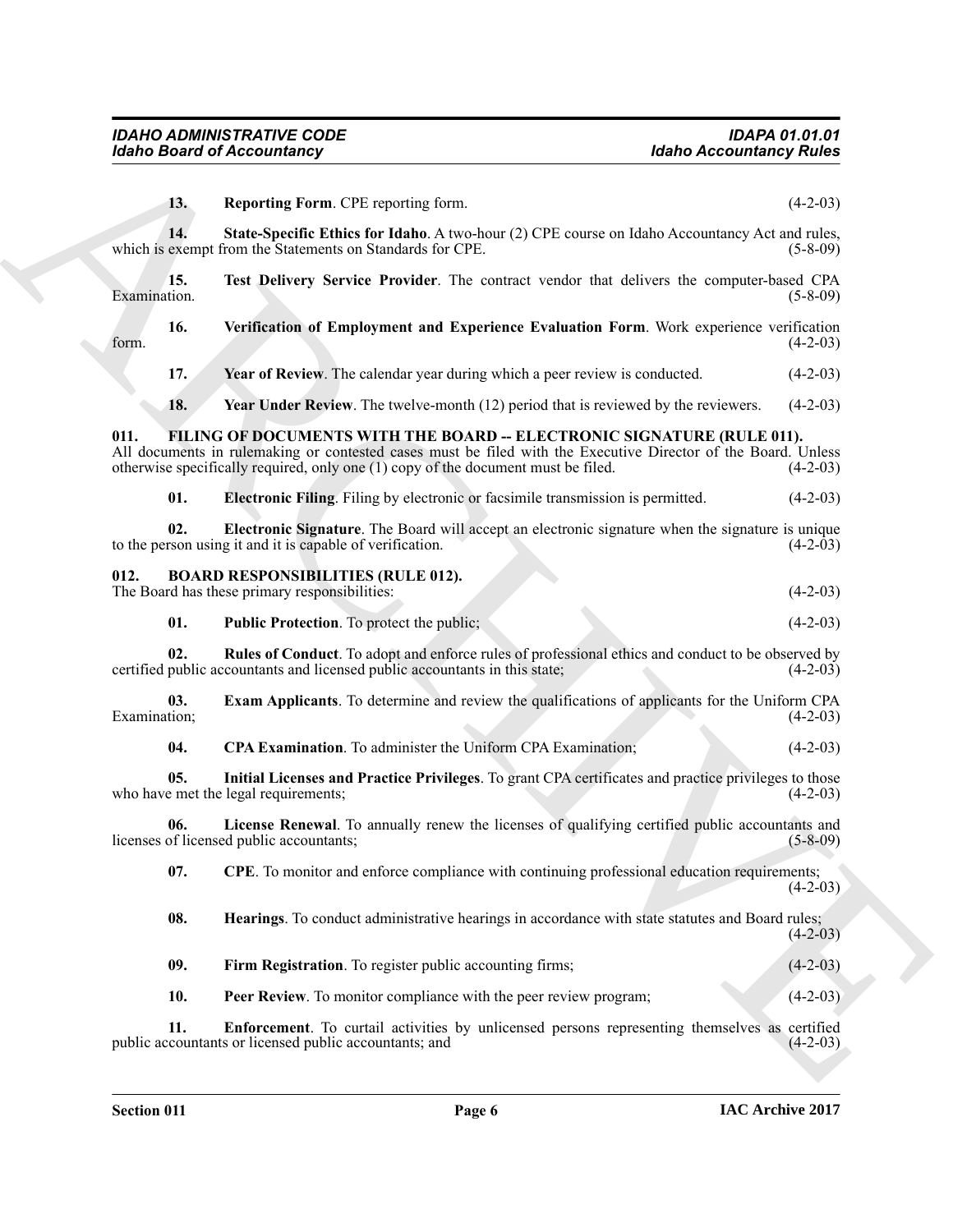<span id="page-5-22"></span><span id="page-5-21"></span><span id="page-5-20"></span><span id="page-5-19"></span><span id="page-5-18"></span><span id="page-5-17"></span><span id="page-5-16"></span><span id="page-5-15"></span><span id="page-5-14"></span><span id="page-5-13"></span><span id="page-5-12"></span><span id="page-5-11"></span><span id="page-5-10"></span><span id="page-5-9"></span><span id="page-5-8"></span><span id="page-5-7"></span><span id="page-5-6"></span><span id="page-5-5"></span><span id="page-5-4"></span><span id="page-5-3"></span><span id="page-5-2"></span><span id="page-5-1"></span><span id="page-5-0"></span>

|                     | <b>Idaho Board of Accountancy</b>                                                                                                                                                                                                                                            | <b>Idaho Accountancy Rules</b> |
|---------------------|------------------------------------------------------------------------------------------------------------------------------------------------------------------------------------------------------------------------------------------------------------------------------|--------------------------------|
| 13.                 | Reporting Form. CPE reporting form.                                                                                                                                                                                                                                          | $(4-2-03)$                     |
| 14.                 | State-Specific Ethics for Idaho. A two-hour (2) CPE course on Idaho Accountancy Act and rules,<br>which is exempt from the Statements on Standards for CPE.                                                                                                                  | $(5 - 8 - 09)$                 |
| 15.<br>Examination. | Test Delivery Service Provider. The contract vendor that delivers the computer-based CPA                                                                                                                                                                                     | $(5-8-09)$                     |
| 16.<br>form.        | Verification of Employment and Experience Evaluation Form. Work experience verification                                                                                                                                                                                      | $(4-2-03)$                     |
| 17.                 | Year of Review. The calendar year during which a peer review is conducted.                                                                                                                                                                                                   | $(4-2-03)$                     |
| 18.                 | <b>Year Under Review.</b> The twelve-month (12) period that is reviewed by the reviewers.                                                                                                                                                                                    | $(4-2-03)$                     |
| 011.                | FILING OF DOCUMENTS WITH THE BOARD -- ELECTRONIC SIGNATURE (RULE 011).<br>All documents in rulemaking or contested cases must be filed with the Executive Director of the Board. Unless<br>otherwise specifically required, only one (1) copy of the document must be filed. | $(4-2-03)$                     |
| 01.                 | <b>Electronic Filing.</b> Filing by electronic or facsimile transmission is permitted.                                                                                                                                                                                       | $(4-2-03)$                     |
| 02.                 | <b>Electronic Signature</b> . The Board will accept an electronic signature when the signature is unique<br>to the person using it and it is capable of verification.                                                                                                        | $(4-2-03)$                     |
| 012.                | <b>BOARD RESPONSIBILITIES (RULE 012).</b><br>The Board has these primary responsibilities:                                                                                                                                                                                   | $(4-2-03)$                     |
| 01.                 | Public Protection. To protect the public;                                                                                                                                                                                                                                    | $(4-2-03)$                     |
| 02.                 | Rules of Conduct. To adopt and enforce rules of professional ethics and conduct to be observed by<br>certified public accountants and licensed public accountants in this state;                                                                                             | $(4-2-03)$                     |
| 03.<br>Examination; | <b>Exam Applicants</b> . To determine and review the qualifications of applicants for the Uniform CPA                                                                                                                                                                        | $(4-2-03)$                     |
| 04.                 | <b>CPA Examination</b> . To administer the Uniform CPA Examination;                                                                                                                                                                                                          | $(4-2-03)$                     |
| 05.                 | Initial Licenses and Practice Privileges. To grant CPA certificates and practice privileges to those<br>who have met the legal requirements;                                                                                                                                 | $(4-2-03)$                     |
| 06.                 | License Renewal. To annually renew the licenses of qualifying certified public accountants and<br>licenses of licensed public accountants;                                                                                                                                   | $(5 - 8 - 09)$                 |
| 07.                 | <b>CPE</b> . To monitor and enforce compliance with continuing professional education requirements;                                                                                                                                                                          | $(4-2-03)$                     |
| 08.                 | Hearings. To conduct administrative hearings in accordance with state statutes and Board rules;                                                                                                                                                                              | $(4-2-03)$                     |
| 09.                 | Firm Registration. To register public accounting firms;                                                                                                                                                                                                                      | $(4-2-03)$                     |
| 10.                 | Peer Review. To monitor compliance with the peer review program;                                                                                                                                                                                                             | $(4-2-03)$                     |
| 11.                 | Enforcement. To curtail activities by unlicensed persons representing themselves as certified<br>public accountants or licensed public accountants; and                                                                                                                      | $(4-2-03)$                     |
|                     |                                                                                                                                                                                                                                                                              |                                |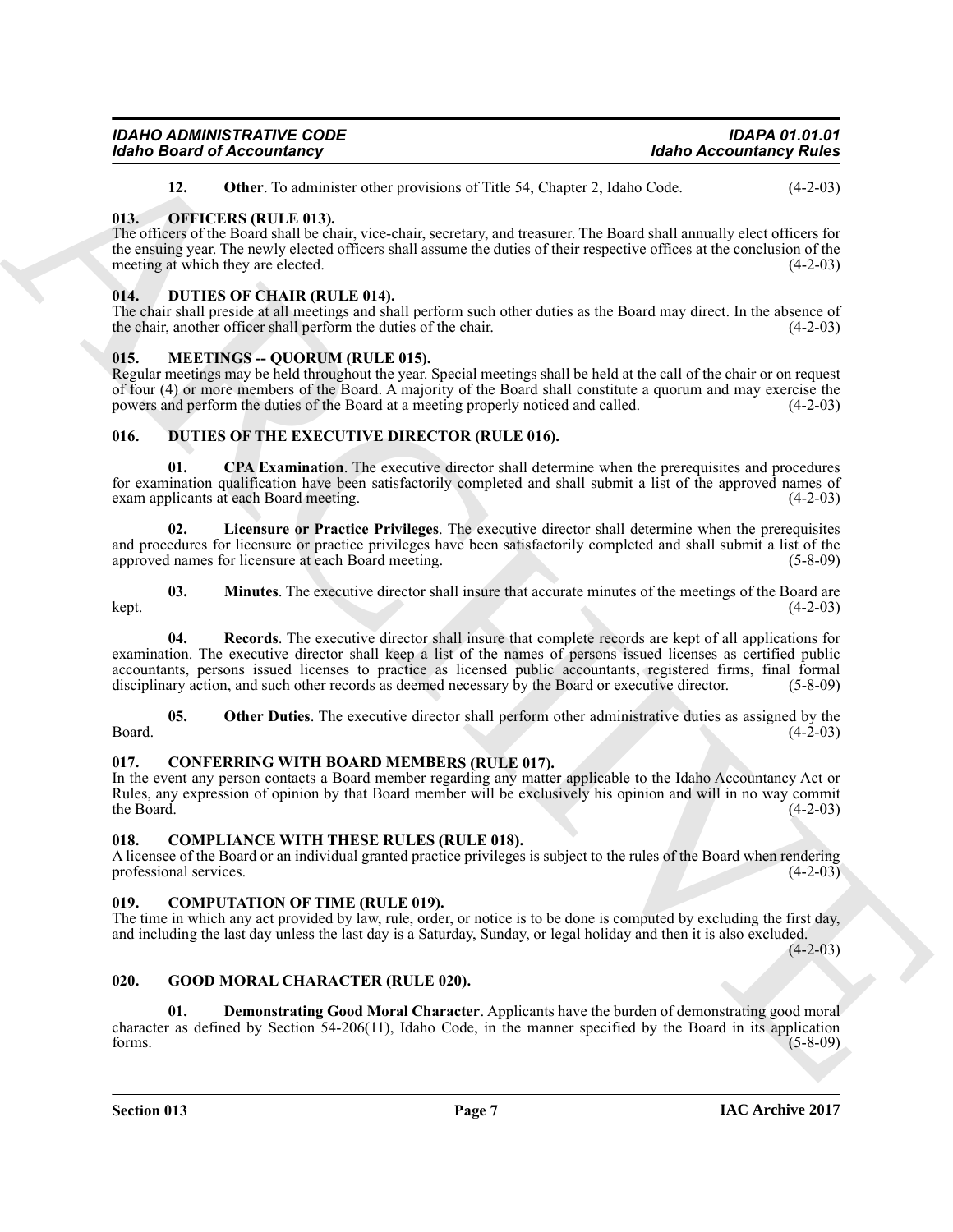| <b>IDAHO ADMINISTRATIVE CODE</b>  | IDAPA 01.01.01                 |
|-----------------------------------|--------------------------------|
| <b>Idaho Board of Accountancy</b> | <b>Idaho Accountancy Rules</b> |

<span id="page-6-22"></span><span id="page-6-8"></span>**12.** Other. To administer other provisions of Title 54, Chapter 2, Idaho Code. (4-2-03)

#### <span id="page-6-0"></span>**013. OFFICERS (RULE 013).**

The officers of the Board shall be chair, vice-chair, secretary, and treasurer. The Board shall annually elect officers for the ensuing year. The newly elected officers shall assume the duties of their respective offices at the conclusion of the meeting at which they are elected. (4-2-03)

#### <span id="page-6-12"></span><span id="page-6-1"></span>**014. DUTIES OF CHAIR (RULE 014).**

The chair shall preside at all meetings and shall perform such other duties as the Board may direct. In the absence of the chair, another officer shall perform the duties of the chair. (4-2-03)

#### <span id="page-6-21"></span><span id="page-6-2"></span>**015. MEETINGS -- QUORUM (RULE 015).**

Regular meetings may be held throughout the year. Special meetings shall be held at the call of the chair or on request of four (4) or more members of the Board. A majority of the Board shall constitute a quorum and may exercise the powers and perform the duties of the Board at a meeting properly noticed and called. (4-2-03)

#### <span id="page-6-13"></span><span id="page-6-3"></span>**016. DUTIES OF THE EXECUTIVE DIRECTOR (RULE 016).**

<span id="page-6-14"></span>**01. CPA Examination**. The executive director shall determine when the prerequisites and procedures for examination qualification have been satisfactorily completed and shall submit a list of the approved names of exam applicants at each Board meeting.

<span id="page-6-15"></span>**02. Licensure or Practice Privileges**. The executive director shall determine when the prerequisites and procedures for licensure or practice privileges have been satisfactorily completed and shall submit a list of the approved names for licensure at each Board meeting. (5-8-09)

<span id="page-6-18"></span><span id="page-6-16"></span>**03. Minutes**. The executive director shall insure that accurate minutes of the meetings of the Board are  $(4-2-03)$  $\text{kept.}$  (4-2-03)

Mohol Based of Accounts and<br>
1446 Accounts and the state of providing solid and the state of the state of the state of the state of the state<br>
1147 Control of the state of the state of the state of the state of the state **04. Records**. The executive director shall insure that complete records are kept of all applications for examination. The executive director shall keep a list of the names of persons issued licenses as certified public accountants, persons issued licenses to practice as licensed public accountants, registered firms, final formal disciplinary action, and such other records as deemed necessary by the Board or executive director. (5-8-09) disciplinary action, and such other records as deemed necessary by the Board or executive director.

<span id="page-6-17"></span>**05.** Other Duties. The executive director shall perform other administrative duties as assigned by the  $(4-2-03)$  $\beta$ Board.  $(4-2-03)$ 

#### <span id="page-6-11"></span><span id="page-6-4"></span>**017. CONFERRING WITH BOARD MEMBERS (RULE 017).**

In the event any person contacts a Board member regarding any matter applicable to the Idaho Accountancy Act or Rules, any expression of opinion by that Board member will be exclusively his opinion and will in no way commit the Board.  $(4-2-03)$ 

#### <span id="page-6-9"></span><span id="page-6-5"></span>**018. COMPLIANCE WITH THESE RULES (RULE 018).**

A licensee of the Board or an individual granted practice privileges is subject to the rules of the Board when rendering professional services. (4-2-03) professional services.

#### <span id="page-6-10"></span><span id="page-6-6"></span>**019. COMPUTATION OF TIME (RULE 019).**

The time in which any act provided by law, rule, order, or notice is to be done is computed by excluding the first day, and including the last day unless the last day is a Saturday, Sunday, or legal holiday and then it is also excluded.

 $(4-2-03)$ 

#### <span id="page-6-19"></span><span id="page-6-7"></span>**020. GOOD MORAL CHARACTER (RULE 020).**

<span id="page-6-20"></span>**01. Demonstrating Good Moral Character**. Applicants have the burden of demonstrating good moral character as defined by Section 54-206(11), Idaho Code, in the manner specified by the Board in its application forms.  $(5-8-09)$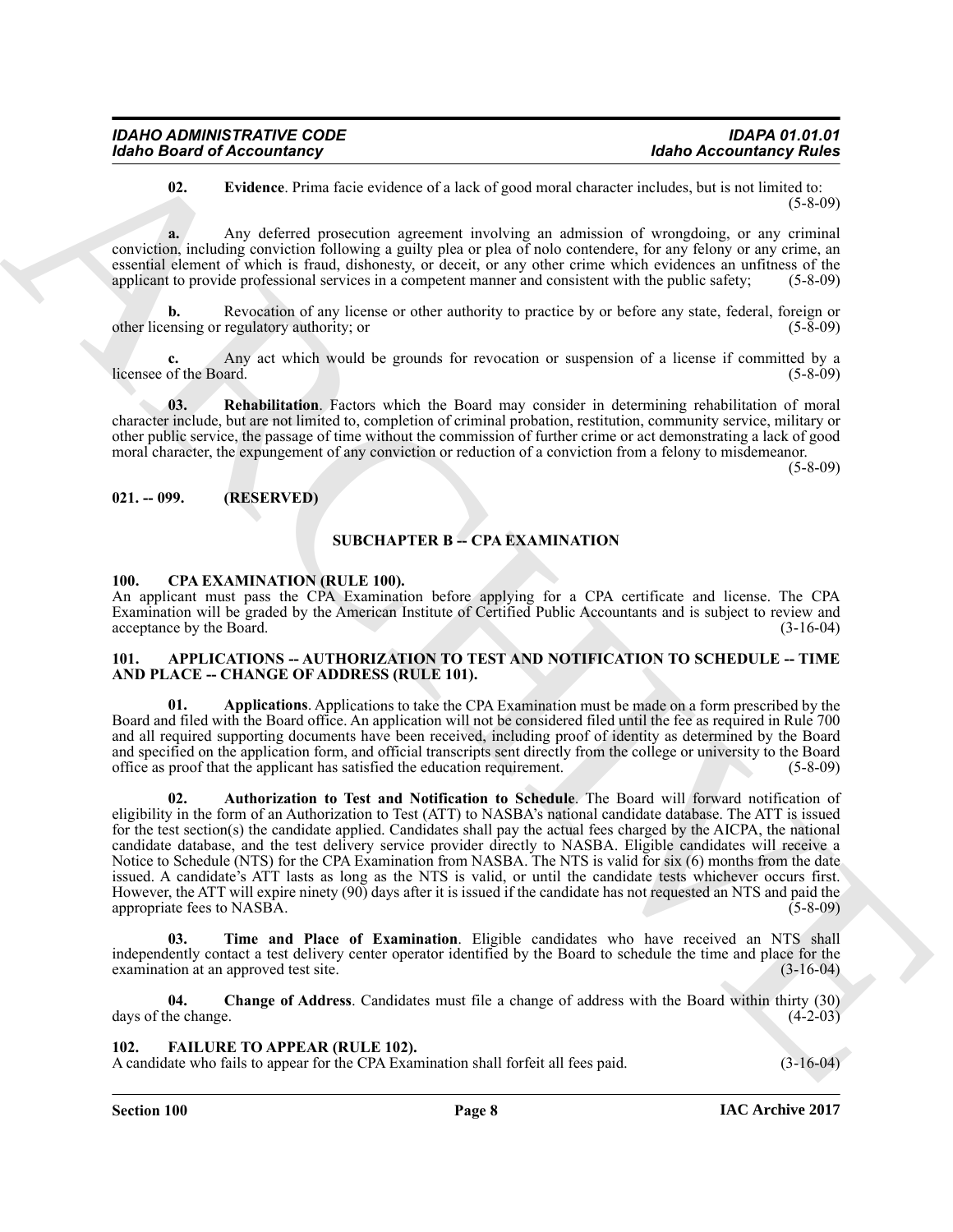<span id="page-7-11"></span>**02. Evidence**. Prima facie evidence of a lack of good moral character includes, but is not limited to: (5-8-09)

**a.** Any deferred prosecution agreement involving an admission of wrongdoing, or any criminal conviction, including conviction following a guilty plea or plea of nolo contendere, for any felony or any crime, an essential element of which is fraud, dishonesty, or deceit, or any other crime which evidences an unfitness of the applicant to provide professional services in a competent manner and consistent with the public safety: (5applicant to provide professional services in a competent manner and consistent with the public safety;

**b.** Revocation of any license or other authority to practice by or before any state, federal, foreign or other licensing or regulatory authority; or (5-8-09)

Any act which would be grounds for revocation or suspension of a license if committed by a ard. licensee of the Board.

<span id="page-7-12"></span>**03. Rehabilitation**. Factors which the Board may consider in determining rehabilitation of moral character include, but are not limited to, completion of criminal probation, restitution, community service, military or other public service, the passage of time without the commission of further crime or act demonstrating a lack of good moral character, the expungement of any conviction or reduction of a conviction from a felony to misdemeanor.

(5-8-09)

#### <span id="page-7-0"></span>**021. -- 099. (RESERVED)**

#### **SUBCHAPTER B -- CPA EXAMINATION**

#### <span id="page-7-9"></span><span id="page-7-1"></span>**100. CPA EXAMINATION (RULE 100).**

An applicant must pass the CPA Examination before applying for a CPA certificate and license. The CPA Examination will be graded by the American Institute of Certified Public Accountants and is subject to review and acceptance by the Board.

#### <span id="page-7-4"></span><span id="page-7-2"></span>**101. APPLICATIONS -- AUTHORIZATION TO TEST AND NOTIFICATION TO SCHEDULE -- TIME AND PLACE -- CHANGE OF ADDRESS (RULE 101).**

<span id="page-7-6"></span><span id="page-7-5"></span>**01. Applications**. Applications to take the CPA Examination must be made on a form prescribed by the Board and filed with the Board office. An application will not be considered filed until the fee as required in Rule 700 and all required supporting documents have been received, including proof of identity as determined by the Board and specified on the application form, and official transcripts sent directly from the college or university to the Board<br>office as proof that the applicant has satisfied the education requirement. (5-8-09) office as proof that the applicant has satisfied the education requirement.

**Extra Bear of Backward Construction**<br> **Extra Bear of Construction** and the section of a fact of given and distributed accounting Point<br>
(a) ARCHIVE government any energy and solid accounting the constraints of a semistr **02. Authorization to Test and Notification to Schedule**. The Board will forward notification of eligibility in the form of an Authorization to Test (ATT) to NASBA's national candidate database. The ATT is issued for the test section(s) the candidate applied. Candidates shall pay the actual fees charged by the AICPA, the national candidate database, and the test delivery service provider directly to NASBA. Eligible candidates will receive a Notice to Schedule (NTS) for the CPA Examination from NASBA. The NTS is valid for six (6) months from the date issued. A candidate's ATT lasts as long as the NTS is valid, or until the candidate tests whichever occurs first. However, the ATT will expire ninety (90) days after it is issued if the candidate has not requested an NTS and paid the appropriate fees to NASBA.

<span id="page-7-8"></span>**03. Time and Place of Examination**. Eligible candidates who have received an NTS shall independently contact a test delivery center operator identified by the Board to schedule the time and place for the examination at an approved test site. (3-16-04) examination at an approved test site.

<span id="page-7-7"></span>**04. Change of Address**. Candidates must file a change of address with the Board within thirty (30) days of the change. (4-2-03)

<span id="page-7-10"></span><span id="page-7-3"></span>**102. FAILURE TO APPEAR (RULE 102).**

A candidate who fails to appear for the CPA Examination shall forfeit all fees paid. (3-16-04)

**Section 100 Page 8**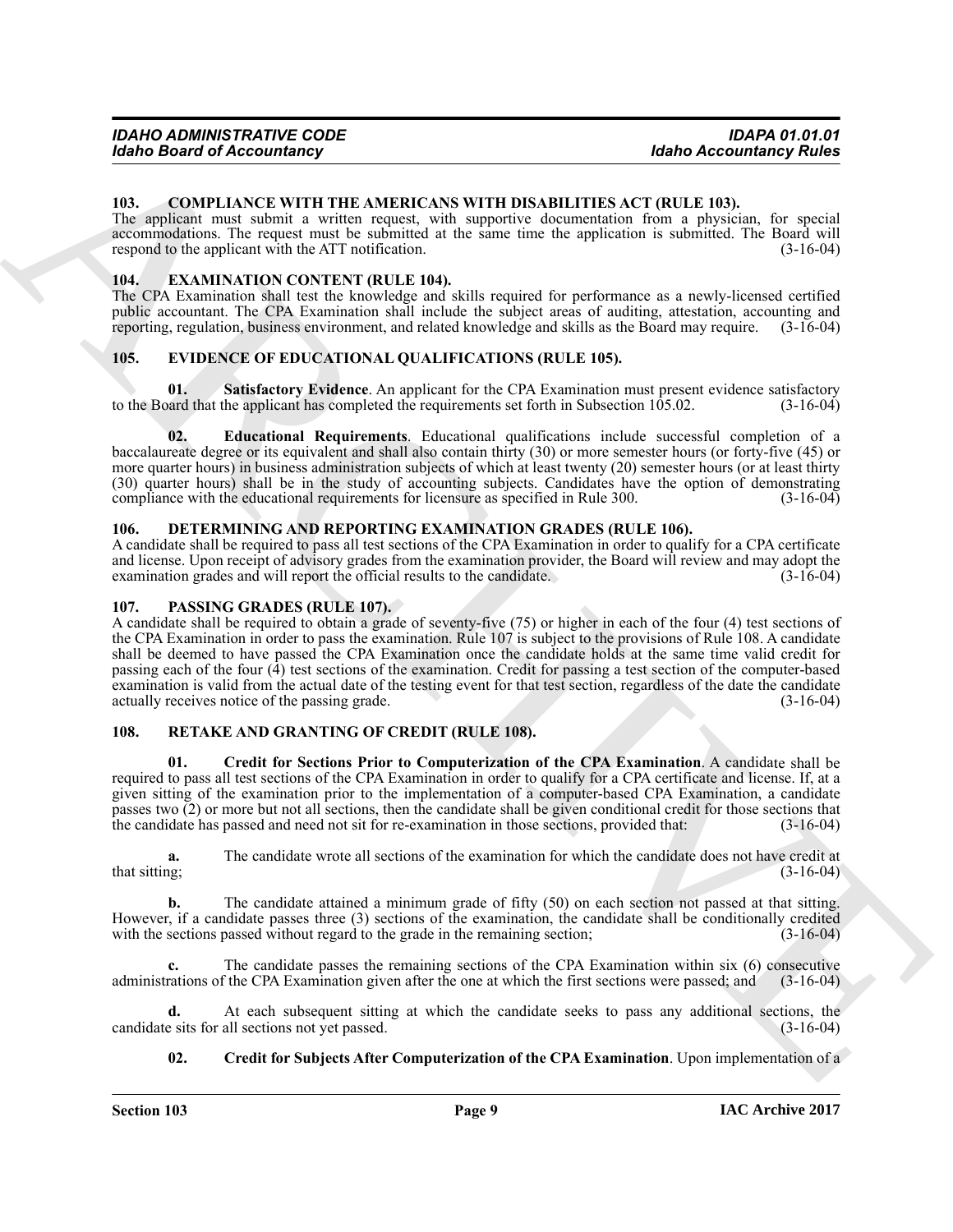#### <span id="page-8-6"></span><span id="page-8-0"></span>**103. COMPLIANCE WITH THE AMERICANS WITH DISABILITIES ACT (RULE 103).**

The applicant must submit a written request, with supportive documentation from a physician, for special accommodations. The request must be submitted at the same time the application is submitted. The Board will respond to the applicant with the ATT notification. (3-16-04)

#### <span id="page-8-11"></span><span id="page-8-1"></span>**104. EXAMINATION CONTENT (RULE 104).**

The CPA Examination shall test the knowledge and skills required for performance as a newly-licensed certified public accountant. The CPA Examination shall include the subject areas of auditing, attestation, accounting and reporting, regulation, business environment, and related knowledge and skills as the Board may require. (3-16-04)

#### <span id="page-8-8"></span><span id="page-8-2"></span>**105. EVIDENCE OF EDUCATIONAL QUALIFICATIONS (RULE 105).**

<span id="page-8-10"></span>**01. Satisfactory Evidence**. An applicant for the CPA Examination must present evidence satisfactory to the Board that the applicant has completed the requirements set forth in Subsection 105.02. (3-16-04)

<span id="page-8-9"></span>**02. Educational Requirements**. Educational qualifications include successful completion of a baccalaureate degree or its equivalent and shall also contain thirty (30) or more semester hours (or forty-five (45) or more quarter hours) in business administration subjects of which at least twenty (20) semester hours (or at least thirty (30) quarter hours) shall be in the study of accounting subjects. Candidates have the option of demonstrating compliance with the educational requirements for licensure as specified in Rule 300. (3-16-04)

#### <span id="page-8-7"></span><span id="page-8-3"></span>**106. DETERMINING AND REPORTING EXAMINATION GRADES (RULE 106).**

A candidate shall be required to pass all test sections of the CPA Examination in order to qualify for a CPA certificate and license. Upon receipt of advisory grades from the examination provider, the Board will review and may adopt the examination grades and will report the official results to the candidate. examination grades and will report the official results to the candidate.

#### <span id="page-8-12"></span><span id="page-8-4"></span>**107. PASSING GRADES (RULE 107).**

Idabe a Beauvin of Mexican contents of Mexican contents and the second interaction of the CN European Contents and the CN European Contents are the CN European Contents and the CN European Contents are the CN European Co A candidate shall be required to obtain a grade of seventy-five (75) or higher in each of the four (4) test sections of the CPA Examination in order to pass the examination. Rule 107 is subject to the provisions of Rule 108. A candidate shall be deemed to have passed the CPA Examination once the candidate holds at the same time valid credit for passing each of the four (4) test sections of the examination. Credit for passing a test section of the computer-based examination is valid from the actual date of the testing event for that test section, regardless of the date the candidate actually receives notice of the passing grade. (3-16-04)

#### <span id="page-8-13"></span><span id="page-8-5"></span>**108. RETAKE AND GRANTING OF CREDIT (RULE 108).**

<span id="page-8-14"></span>**01. Credit for Sections Prior to Computerization of the CPA Examination**. A candidate shall be required to pass all test sections of the CPA Examination in order to qualify for a CPA certificate and license. If, at a given sitting of the examination prior to the implementation of a computer-based CPA Examination, a candidate passes two (2) or more but not all sections, then the candidate shall be given conditional credit for those sections that the candidate has passed and need not sit for re-examination in those sections, provided that: (3-16-04)

**a.** The candidate wrote all sections of the examination for which the candidate does not have credit at (3-16-04) that sitting;

**b.** The candidate attained a minimum grade of fifty (50) on each section not passed at that sitting. However, if a candidate passes three (3) sections of the examination, the candidate shall be conditionally credited with the sections passed without regard to the grade in the remaining section; (3-16-04)

**c.** The candidate passes the remaining sections of the CPA Examination within six (6) consecutive administrations of the CPA Examination given after the one at which the first sections were passed; and (3-16-04)

**d.** At each subsequent sitting at which the candidate seeks to pass any additional sections, the esits for all sections not yet passed.  $(3-16-04)$ candidate sits for all sections not yet passed.

#### <span id="page-8-15"></span>**02.** Credit for Subjects After Computerization of the CPA Examination. Upon implementation of a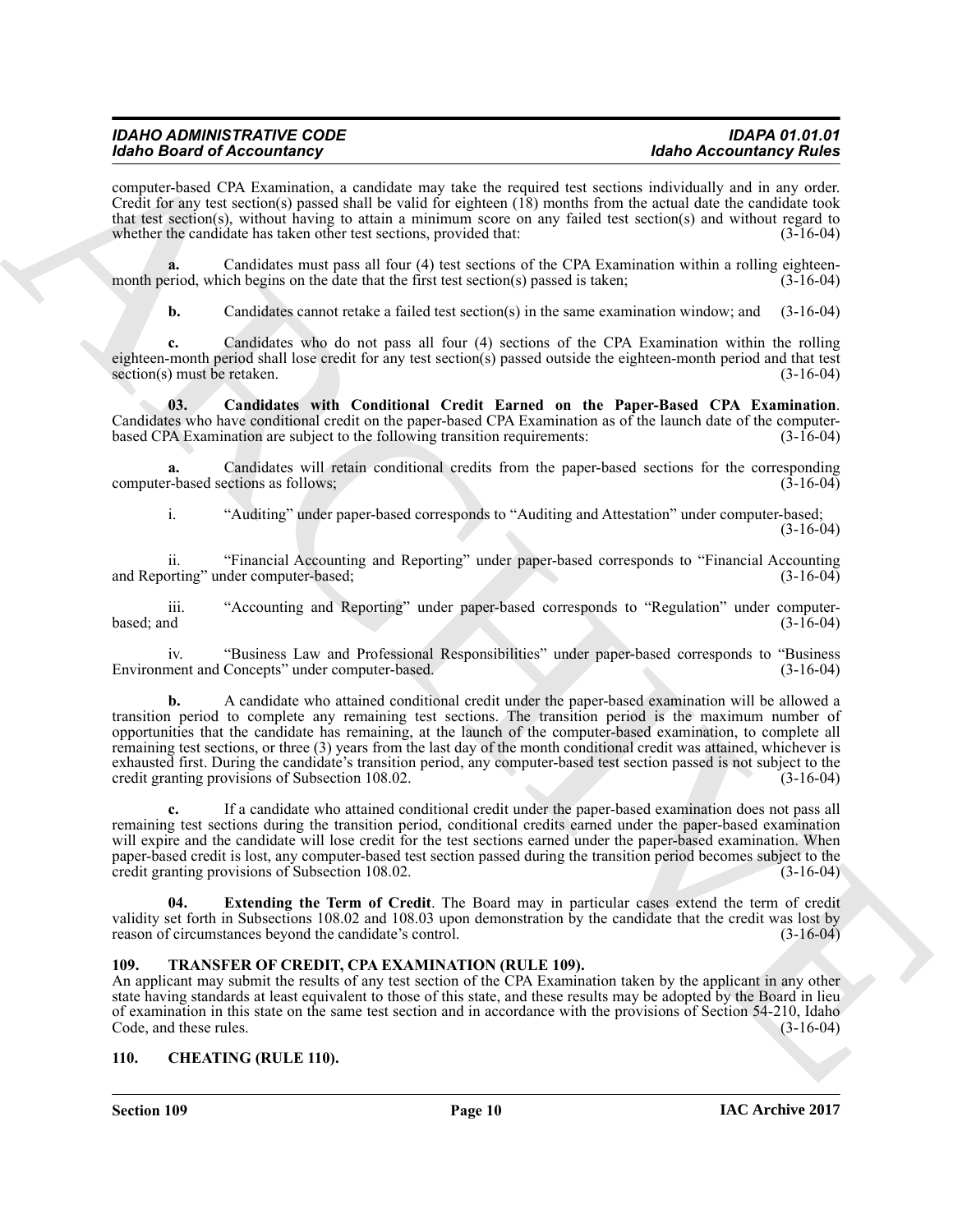| <b>IDAHO ADMINISTRATIVE CODE</b>  | <b>IDAPA 01.01.01</b>          |
|-----------------------------------|--------------------------------|
| <b>Idaho Board of Accountancy</b> | <b>Idaho Accountancy Rules</b> |

computer-based CPA Examination, a candidate may take the required test sections individually and in any order. Credit for any test section(s) passed shall be valid for eighteen (18) months from the actual date the candidate took that test section(s), without having to attain a minimum score on any failed test section(s) and without regard to whether the candidate has taken other test sections, provided that: (3-16-04) whether the candidate has taken other test sections, provided that:

Candidates must pass all four (4) test sections of the CPA Examination within a rolling eighteen-<br>ich begins on the date that the first test section(s) passed is taken; (3-16-04) month period, which begins on the date that the first test section(s) passed is taken;

<span id="page-9-3"></span>**b.** Candidates cannot retake a failed test section(s) in the same examination window; and (3-16-04)

**c.** Candidates who do not pass all four (4) sections of the CPA Examination within the rolling eighteen-month period shall lose credit for any test section(s) passed outside the eighteen-month period and that test section(s) must be retaken. (3-16-04)  $section(s)$  must be retaken.

**03. Candidates with Conditional Credit Earned on the Paper-Based CPA Examination**. Candidates who have conditional credit on the paper-based CPA Examination as of the launch date of the computer-<br>based CPA Examination are subject to the following transition requirements: (3-16-04) based CPA Examination are subject to the following transition requirements:

**a.** Candidates will retain conditional credits from the paper-based sections for the corresponding r-based sections as follows: (3-16-04) computer-based sections as follows;

i. "Auditing" under paper-based corresponds to "Auditing and Attestation" under computer-based; (3-16-04)

ii. "Financial Accounting and Reporting" under paper-based corresponds to "Financial Accounting and Reporting" under computer-based;

iii. "Accounting and Reporting" under paper-based corresponds to "Regulation" under computer-<br>(3-16-04) (3-16-04)  $\alpha$  based; and  $(3-16-04)$ 

iv. "Business Law and Professional Responsibilities" under paper-based corresponds to "Business Environment and Concepts" under computer-based.

More the constraints of the latter space in the latter space with the constraints and the constraints of the constraints of the constraints of the constraints of the constraints of the constraints of the constraints of th **b.** A candidate who attained conditional credit under the paper-based examination will be allowed a transition period to complete any remaining test sections. The transition period is the maximum number of opportunities that the candidate has remaining, at the launch of the computer-based examination, to complete all remaining test sections, or three (3) years from the last day of the month conditional credit was attained, whichever is exhausted first. During the candidate's transition period, any computer-based test section passed is not subject to the credit granting provisions of Subsection 108.02. (3-16-04)

**c.** If a candidate who attained conditional credit under the paper-based examination does not pass all remaining test sections during the transition period, conditional credits earned under the paper-based examination will expire and the candidate will lose credit for the test sections earned under the paper-based examination. When paper-based credit is lost, any computer-based test section passed during the transition period becomes subject to the credit granting provisions of Subsection 108.02. credit granting provisions of Subsection 108.02.

<span id="page-9-4"></span>**04. Extending the Term of Credit**. The Board may in particular cases extend the term of credit validity set forth in Subsections 108.02 and 108.03 upon demonstration by the candidate that the credit was lost by reason of circumstances beyond the candidate's control. (3-16-04) reason of circumstances beyond the candidate's control.

#### <span id="page-9-5"></span><span id="page-9-0"></span>**109. TRANSFER OF CREDIT, CPA EXAMINATION (RULE 109).**

An applicant may submit the results of any test section of the CPA Examination taken by the applicant in any other state having standards at least equivalent to those of this state, and these results may be adopted by the Board in lieu of examination in this state on the same test section and in accordance with the provisions of Section 54-210, Idaho<br>Code, and these rules. (3-16-04) Code, and these rules.

#### <span id="page-9-2"></span><span id="page-9-1"></span>**110. CHEATING (RULE 110).**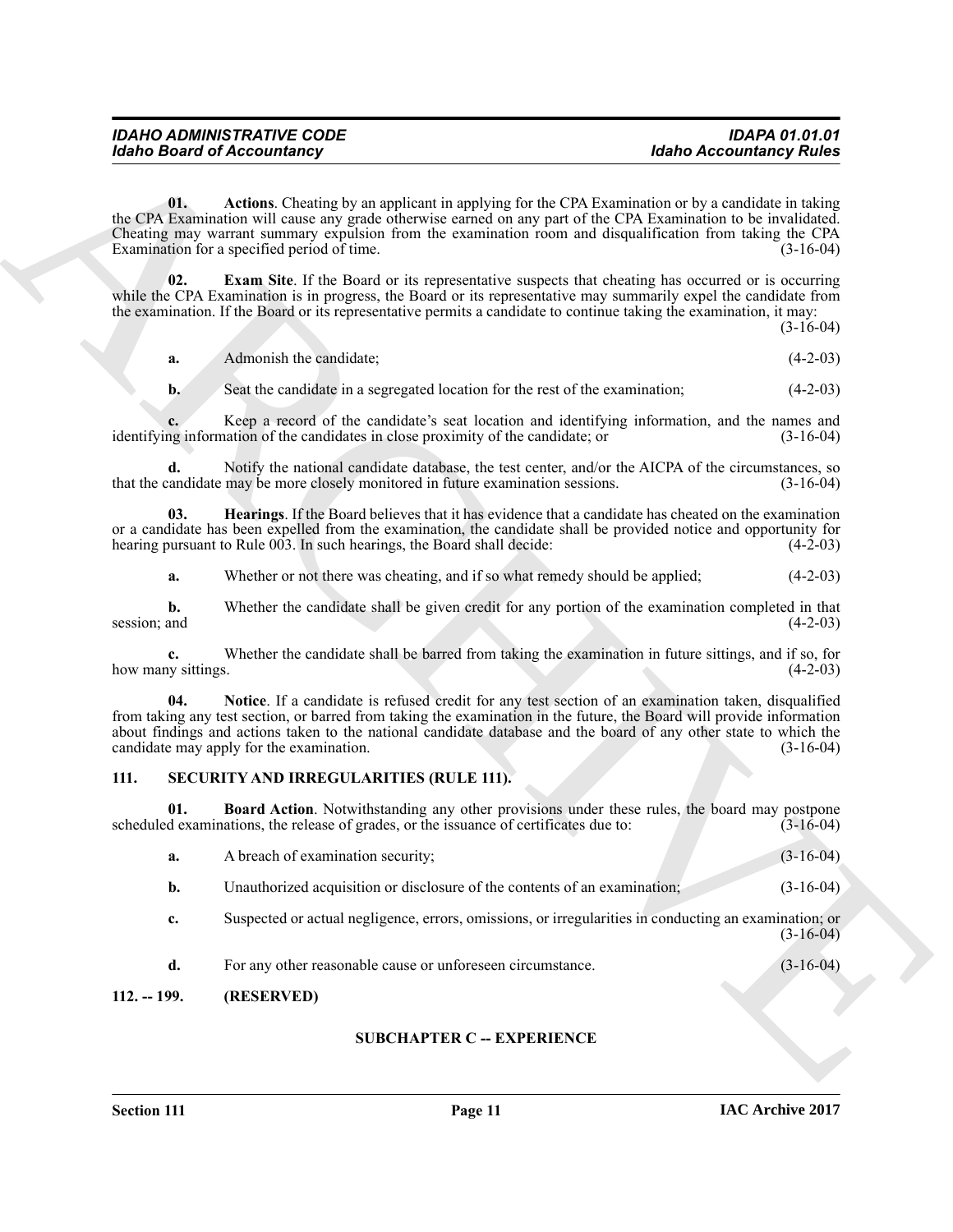<span id="page-10-2"></span>

| <b>IDAHO ADMINISTRATIVE CODE</b>  | <b>IDAPA 01.01.01</b>          |
|-----------------------------------|--------------------------------|
| <b>Idaho Board of Accountancy</b> | <b>Idaho Accountancy Rules</b> |

<span id="page-10-4"></span><span id="page-10-3"></span>

|  | Admonish the candidate: | $(4-2-03)$ |
|--|-------------------------|------------|
|--|-------------------------|------------|

#### <span id="page-10-7"></span><span id="page-10-6"></span><span id="page-10-5"></span><span id="page-10-0"></span>**111. SECURITY AND IRREGULARITIES (RULE 111).**

|                          | <b>Idaho Board of Accountancy</b>                                                                                                                                                                                                                                                                                                                                                             | <b>Idaho Accountancy Rules</b> |
|--------------------------|-----------------------------------------------------------------------------------------------------------------------------------------------------------------------------------------------------------------------------------------------------------------------------------------------------------------------------------------------------------------------------------------------|--------------------------------|
| 01.                      | Actions. Cheating by an applicant in applying for the CPA Examination or by a candidate in taking<br>the CPA Examination will cause any grade otherwise earned on any part of the CPA Examination to be invalidated.<br>Cheating may warrant summary expulsion from the examination room and disqualification from taking the CPA<br>Examination for a specified period of time.              | $(3-16-04)$                    |
| 02.                      | <b>Exam Site.</b> If the Board or its representative suspects that cheating has occurred or is occurring<br>while the CPA Examination is in progress, the Board or its representative may summarily expel the candidate from<br>the examination. If the Board or its representative permits a candidate to continue taking the examination, it may:                                           | $(3-16-04)$                    |
| a.                       | Admonish the candidate;                                                                                                                                                                                                                                                                                                                                                                       | $(4-2-03)$                     |
| $\mathbf{b}$ .           | Seat the candidate in a segregated location for the rest of the examination;                                                                                                                                                                                                                                                                                                                  | $(4-2-03)$                     |
|                          | Keep a record of the candidate's seat location and identifying information, and the names and<br>identifying information of the candidates in close proximity of the candidate; or                                                                                                                                                                                                            | $(3-16-04)$                    |
| d.                       | Notify the national candidate database, the test center, and/or the AICPA of the circumstances, so<br>that the candidate may be more closely monitored in future examination sessions.                                                                                                                                                                                                        | $(3-16-04)$                    |
| 03.                      | <b>Hearings</b> . If the Board believes that it has evidence that a candidate has cheated on the examination<br>or a candidate has been expelled from the examination, the candidate shall be provided notice and opportunity for<br>hearing pursuant to Rule 003. In such hearings, the Board shall decide:                                                                                  | $(4-2-03)$                     |
| a.                       | Whether or not there was cheating, and if so what remedy should be applied;                                                                                                                                                                                                                                                                                                                   | $(4-2-03)$                     |
| b.<br>session; and       | Whether the candidate shall be given credit for any portion of the examination completed in that                                                                                                                                                                                                                                                                                              | $(4-2-03)$                     |
| c.<br>how many sittings. | Whether the candidate shall be barred from taking the examination in future sittings, and if so, for                                                                                                                                                                                                                                                                                          | $(4-2-03)$                     |
| 04.                      | Notice. If a candidate is refused credit for any test section of an examination taken, disqualified<br>from taking any test section, or barred from taking the examination in the future, the Board will provide information<br>about findings and actions taken to the national candidate database and the board of any other state to which the<br>candidate may apply for the examination. | $(3-16-04)$                    |
| 111.                     | SECURITY AND IRREGULARITIES (RULE 111).                                                                                                                                                                                                                                                                                                                                                       |                                |
| 01.                      | <b>Board Action</b> . Notwithstanding any other provisions under these rules, the board may postpone<br>scheduled examinations, the release of grades, or the issuance of certificates due to:                                                                                                                                                                                                | $(3-16-04)$                    |
| a.                       | A breach of examination security;                                                                                                                                                                                                                                                                                                                                                             | $(3-16-04)$                    |
| b.                       | Unauthorized acquisition or disclosure of the contents of an examination;                                                                                                                                                                                                                                                                                                                     | $(3-16-04)$                    |
| c.                       | Suspected or actual negligence, errors, omissions, or irregularities in conducting an examination; or                                                                                                                                                                                                                                                                                         | $(3-16-04)$                    |
| d.                       | For any other reasonable cause or unforeseen circumstance.                                                                                                                                                                                                                                                                                                                                    | $(3-16-04)$                    |
| $112. - 199.$            | (RESERVED)                                                                                                                                                                                                                                                                                                                                                                                    |                                |
|                          | <b>SUBCHAPTER C -- EXPERIENCE</b>                                                                                                                                                                                                                                                                                                                                                             |                                |
|                          |                                                                                                                                                                                                                                                                                                                                                                                               |                                |

#### <span id="page-10-1"></span>**112. -- 199. (RESERVED)**

#### **SUBCHAPTER C -- EXPERIENCE**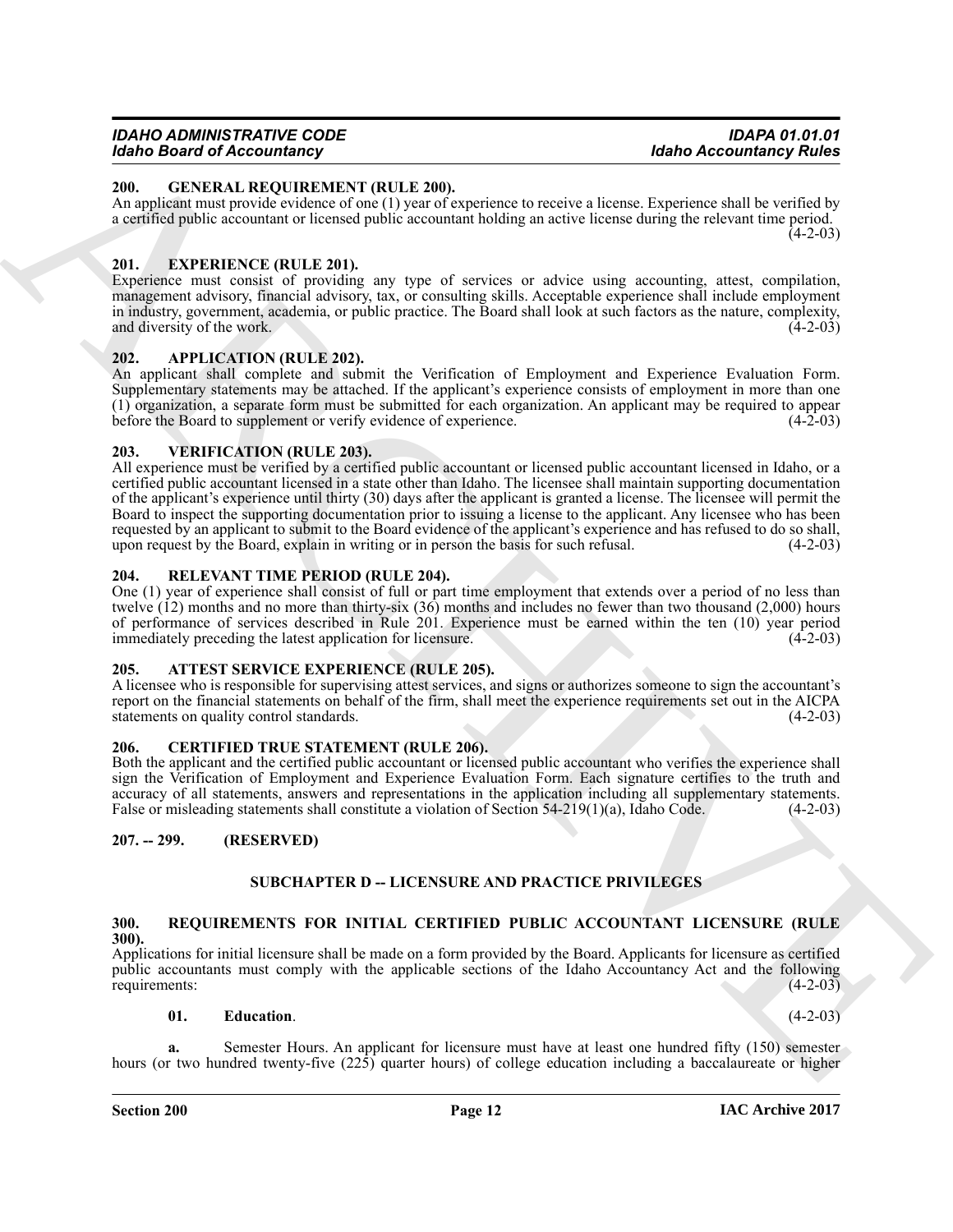#### <span id="page-11-13"></span><span id="page-11-0"></span>**200. GENERAL REQUIREMENT (RULE 200).**

An applicant must provide evidence of one (1) year of experience to receive a license. Experience shall be verified by a certified public accountant or licensed public accountant holding an active license during the relevant time period.  $(4-2-03)$ 

#### <span id="page-11-12"></span><span id="page-11-1"></span>**201. EXPERIENCE (RULE 201).**

Experience must consist of providing any type of services or advice using accounting, attest, compilation, management advisory, financial advisory, tax, or consulting skills. Acceptable experience shall include employment in industry, government, academia, or public practice. The Board shall look at such factors as the nature, complexity, and diversity of the work. (4-2-03)

#### <span id="page-11-9"></span><span id="page-11-2"></span>**202. APPLICATION (RULE 202).**

An applicant shall complete and submit the Verification of Employment and Experience Evaluation Form. Supplementary statements may be attached. If the applicant's experience consists of employment in more than one (1) organization, a separate form must be submitted for each organization. An applicant may be required to appear before the Board to supplement or verify evidence of experience. (4-2-03)

#### <span id="page-11-17"></span><span id="page-11-3"></span>**203. VERIFICATION (RULE 203).**

ARCHIVE All experience must be verified by a certified public accountant or licensed public accountant licensed in Idaho, or a certified public accountant licensed in a state other than Idaho. The licensee shall maintain supporting documentation of the applicant's experience until thirty (30) days after the applicant is granted a license. The licensee will permit the Board to inspect the supporting documentation prior to issuing a license to the applicant. Any licensee who has been requested by an applicant to submit to the Board evidence of the applicant's experience and has refused to do so shall, upon request by the Board, explain in writing or in person the basis for such refusal. (4-2-03)

#### <span id="page-11-14"></span><span id="page-11-4"></span>**204. RELEVANT TIME PERIOD (RULE 204).**

One (1) year of experience shall consist of full or part time employment that extends over a period of no less than twelve (12) months and no more than thirty-six (36) months and includes no fewer than two thousand (2,000) hours of performance of services described in Rule 201. Experience must be earned within the ten (10) year period immediately preceding the latest application for licensure. (4-2-03)

#### <span id="page-11-10"></span><span id="page-11-5"></span>**205. ATTEST SERVICE EXPERIENCE (RULE 205).**

A licensee who is responsible for supervising attest services, and signs or authorizes someone to sign the accountant's report on the financial statements on behalf of the firm, shall meet the experience requirements set out in the AICPA statements on quality control standards. (4-2-03) statements on quality control standards.

#### <span id="page-11-11"></span><span id="page-11-6"></span>**206. CERTIFIED TRUE STATEMENT (RULE 206).**

Both the applicant and the certified public accountant or licensed public accountant who verifies the experience shall sign the Verification of Employment and Experience Evaluation Form. Each signature certifies to the truth and accuracy of all statements, answers and representations in the application including all supplementary statements.<br>False or misleading statements shall constitute a violation of Section 54-219(1)(a). Idaho Code. (4-2-03) False or misleading statements shall constitute a violation of Section  $54-219(1)(a)$ , Idaho Code.

#### <span id="page-11-7"></span>**207. -- 299. (RESERVED)**

#### **SUBCHAPTER D -- LICENSURE AND PRACTICE PRIVILEGES**

#### <span id="page-11-15"></span><span id="page-11-8"></span>**300. REQUIREMENTS FOR INITIAL CERTIFIED PUBLIC ACCOUNTANT LICENSURE (RULE 300).**

Applications for initial licensure shall be made on a form provided by the Board. Applicants for licensure as certified public accountants must comply with the applicable sections of the Idaho Accountancy Act and the following requirements: (4-2-03) requirements:

#### <span id="page-11-16"></span>**01. Education**. (4-2-03)

**a.** Semester Hours. An applicant for licensure must have at least one hundred fifty (150) semester hours (or two hundred twenty-five (225) quarter hours) of college education including a baccalaureate or higher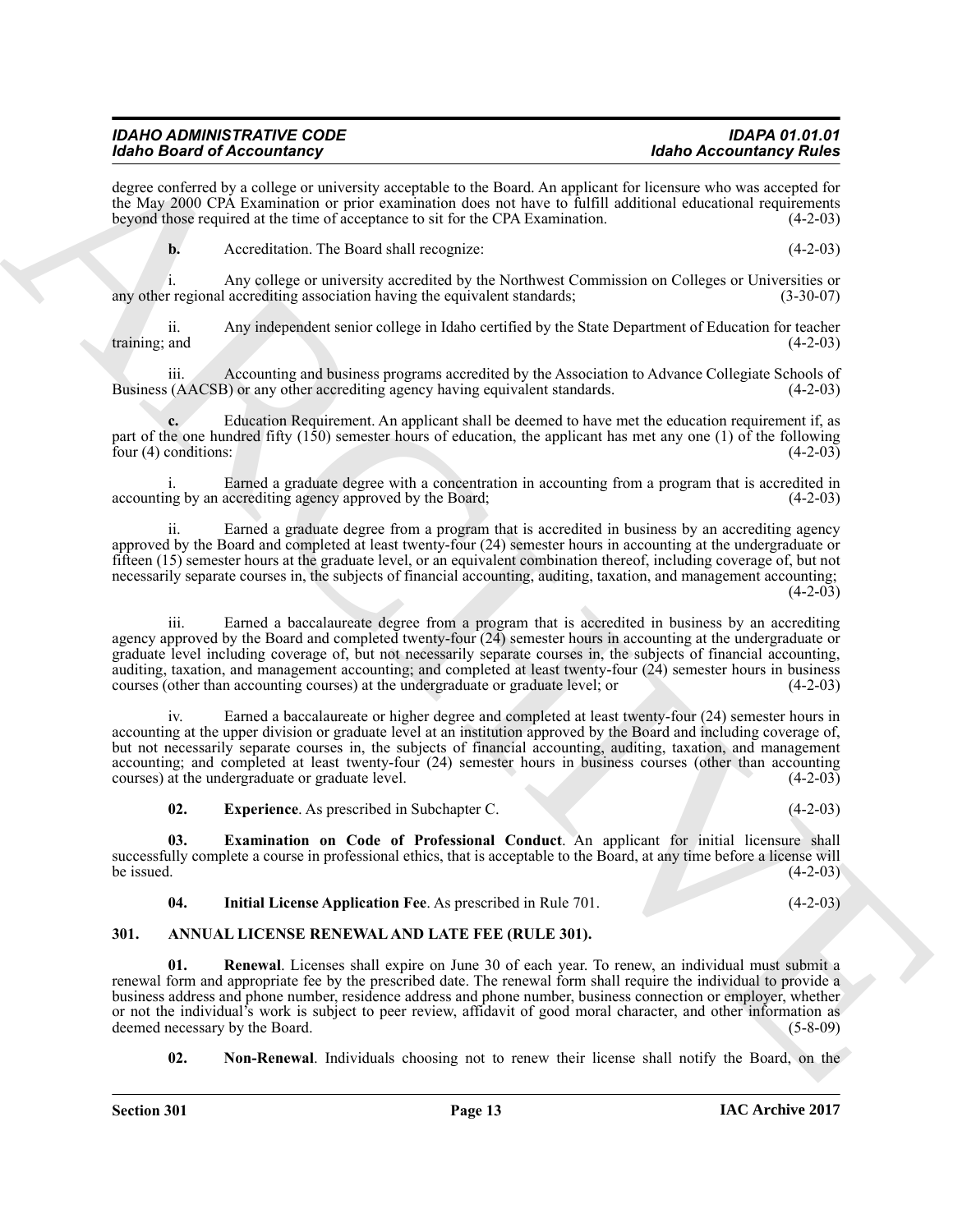degree conferred by a college or university acceptable to the Board. An applicant for licensure who was accepted for the May 2000 CPA Examination or prior examination does not have to fulfill additional educational requirements<br>beyond those required at the time of acceptance to sit for the CPA Examination. (4-2-03) beyond those required at the time of acceptance to sit for the CPA Examination.

**b.** Accreditation. The Board shall recognize: (4-2-03)

i. Any college or university accredited by the Northwest Commission on Colleges or Universities or any other regional accrediting association having the equivalent standards; (3-30-07)

ii. Any independent senior college in Idaho certified by the State Department of Education for teacher training; and  $(4-2-03)$ 

iii. Accounting and business programs accredited by the Association to Advance Collegiate Schools of Business (AACSB) or any other accrediting agency having equivalent standards.

**c.** Education Requirement. An applicant shall be deemed to have met the education requirement if, as part of the one hundred fifty (150) semester hours of education, the applicant has met any one (1) of the following four (4) conditions:  $(4-2-03)$ four  $(4)$  conditions:

i. Earned a graduate degree with a concentration in accounting from a program that is accredited in the by an accrediting agency approved by the Board: (4-2-03) accounting by an accrediting agency approved by the Board;

ii. Earned a graduate degree from a program that is accredited in business by an accrediting agency approved by the Board and completed at least twenty-four (24) semester hours in accounting at the undergraduate or fifteen (15) semester hours at the graduate level, or an equivalent combination thereof, including coverage of, but not necessarily separate courses in, the subjects of financial accounting, auditing, taxation, and management accounting;  $(4-2-03)$ 

Mode Beatre of Accounting materials a consistent of the March As inputs the beatre of March Accounting Mode and the March Accounting the South of Accounting the Constraints of the CN-2002 COLOR CONTENT (RUT ACCOUNT)<br>
ARC iii. Earned a baccalaureate degree from a program that is accredited in business by an accrediting agency approved by the Board and completed twenty-four  $(24)$  semester hours in accounting at the undergraduate or graduate level including coverage of, but not necessarily separate courses in, the subjects of financial accounting, auditing, taxation, and management accounting; and completed at least twenty-four (24) semester hours in business courses (other than accounting courses) at the undergraduate or graduate level; or (4-2-03)

iv. Earned a baccalaureate or higher degree and completed at least twenty-four (24) semester hours in accounting at the upper division or graduate level at an institution approved by the Board and including coverage of, but not necessarily separate courses in, the subjects of financial accounting, auditing, taxation, and management accounting; and completed at least twenty-four (24) semester hours in business courses (other than accounting courses) at the undergraduate or graduate level. (4-2-03)

<span id="page-12-5"></span><span id="page-12-4"></span>**02. Experience**. As prescribed in Subchapter C. (4-2-03)

**03. Examination on Code of Professional Conduct**. An applicant for initial licensure shall successfully complete a course in professional ethics, that is acceptable to the Board, at any time before a license will<br>be issued. (4-2-03) be issued.  $(4-2-03)$ 

<span id="page-12-6"></span><span id="page-12-3"></span><span id="page-12-1"></span>

| 04. | <b>Initial License Application Fee. As prescribed in Rule 701.</b> | $(4-2-03)$ |
|-----|--------------------------------------------------------------------|------------|
|-----|--------------------------------------------------------------------|------------|

#### <span id="page-12-0"></span>**301. ANNUAL LICENSE RENEWAL AND LATE FEE (RULE 301).**

**01. Renewal**. Licenses shall expire on June 30 of each year. To renew, an individual must submit a renewal form and appropriate fee by the prescribed date. The renewal form shall require the individual to provide a business address and phone number, residence address and phone number, business connection or employer, whether or not the individual's work is subject to peer review, affidavit of good moral character, and other information as deemed necessary by the Board. (5-8-09) deemed necessary by the Board.

<span id="page-12-2"></span>**02. Non-Renewal**. Individuals choosing not to renew their license shall notify the Board, on the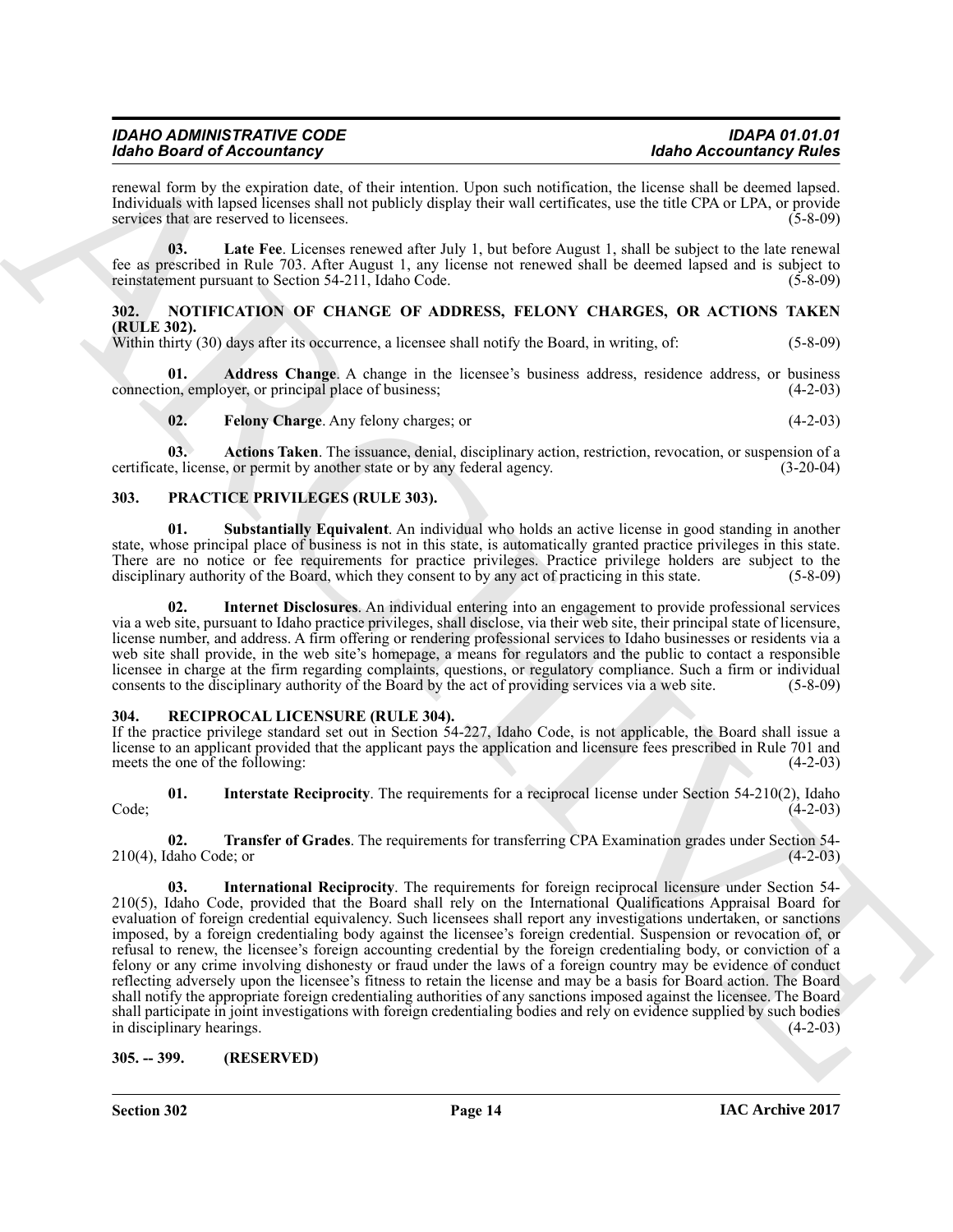| <b>IDAHO ADMINISTRATIVE CODE</b>  | <b>IDAPA 01.01.01</b>          |
|-----------------------------------|--------------------------------|
| <b>Idaho Board of Accountancy</b> | <b>Idaho Accountancy Rules</b> |

renewal form by the expiration date, of their intention. Upon such notification, the license shall be deemed lapsed. Individuals with lapsed licenses shall not publicly display their wall certificates, use the title CPA or LPA, or provide services that are reserved to licensees.

<span id="page-13-4"></span>**03. Late Fee**. Licenses renewed after July 1, but before August 1, shall be subject to the late renewal fee as prescribed in Rule 703. After August 1, any license not renewed shall be deemed lapsed and is subject to reinstatement pursuant to Section 54-211, Idaho Code.

#### <span id="page-13-8"></span><span id="page-13-0"></span>**302. NOTIFICATION OF CHANGE OF ADDRESS, FELONY CHARGES, OR ACTIONS TAKEN (RULE 302).**

Within thirty (30) days after its occurrence, a licensee shall notify the Board, in writing, of: (5-8-09)

**Address Change**. A change in the licensee's business address, residence address, or business over, or principal place of business; connection, employer, or principal place of business;

<span id="page-13-11"></span><span id="page-13-7"></span><span id="page-13-6"></span><span id="page-13-5"></span>**02. Felony Charge**. Any felony charges; or (4-2-03)

**03. Actions Taken**. The issuance, denial, disciplinary action, restriction, revocation, or suspension of a certificate, license, or permit by another state or by any federal agency. (3-20-04)

#### <span id="page-13-9"></span><span id="page-13-1"></span>**303. PRACTICE PRIVILEGES (RULE 303).**

**01. Substantially Equivalent**. An individual who holds an active license in good standing in another state, whose principal place of business is not in this state, is automatically granted practice privileges in this state. There are no notice or fee requirements for practice privileges. Practice privilege holders are subject to the disciplinary authority of the Board, which they consent to by any act of practicing in this state. (5-8-09) disciplinary authority of the Board, which they consent to by any act of practicing in this state.

<span id="page-13-10"></span>**02. Internet Disclosures**. An individual entering into an engagement to provide professional services via a web site, pursuant to Idaho practice privileges, shall disclose, via their web site, their principal state of licensure, license number, and address. A firm offering or rendering professional services to Idaho businesses or residents via a web site shall provide, in the web site's homepage, a means for regulators and the public to contact a responsible licensee in charge at the firm regarding complaints, questions, or regulatory compliance. Such a firm or individual consents to the disciplinary authority of the Board by the act of providing services via a web site. (5-8-09)

#### <span id="page-13-12"></span><span id="page-13-2"></span>**304. RECIPROCAL LICENSURE (RULE 304).**

If the practice privilege standard set out in Section 54-227, Idaho Code, is not applicable, the Board shall issue a license to an applicant provided that the applicant pays the application and licensure fees prescribed in Rule 701 and meets the one of the following: (4-2-03) meets the one of the following:

<span id="page-13-14"></span>**01. Interstate Reciprocity**. The requirements for a reciprocal license under Section 54-210(2), Idaho  $Code;$  (4-2-03)

<span id="page-13-15"></span><span id="page-13-13"></span>**02. Transfer of Grades**. The requirements for transferring CPA Examination grades under Section 54-  $210(4)$ , Idaho Code; or

Moto Booten of Alexanders" priori state that a control of the state and the state of the state of the state of the state of the state of the state of the state of the state of the state of the state of the state of the st **03. International Reciprocity**. The requirements for foreign reciprocal licensure under Section 54- 210(5), Idaho Code, provided that the Board shall rely on the International Qualifications Appraisal Board for evaluation of foreign credential equivalency. Such licensees shall report any investigations undertaken, or sanctions imposed, by a foreign credentialing body against the licensee's foreign credential. Suspension or revocation of, or refusal to renew, the licensee's foreign accounting credential by the foreign credentialing body, or conviction of a felony or any crime involving dishonesty or fraud under the laws of a foreign country may be evidence of conduct reflecting adversely upon the licensee's fitness to retain the license and may be a basis for Board action. The Board shall notify the appropriate foreign credentialing authorities of any sanctions imposed against the licensee. The Board shall participate in joint investigations with foreign credentialing bodies and rely on evidence supplied by such bodies in disciplinary hearings. (4-2-03)

#### <span id="page-13-3"></span>**305. -- 399. (RESERVED)**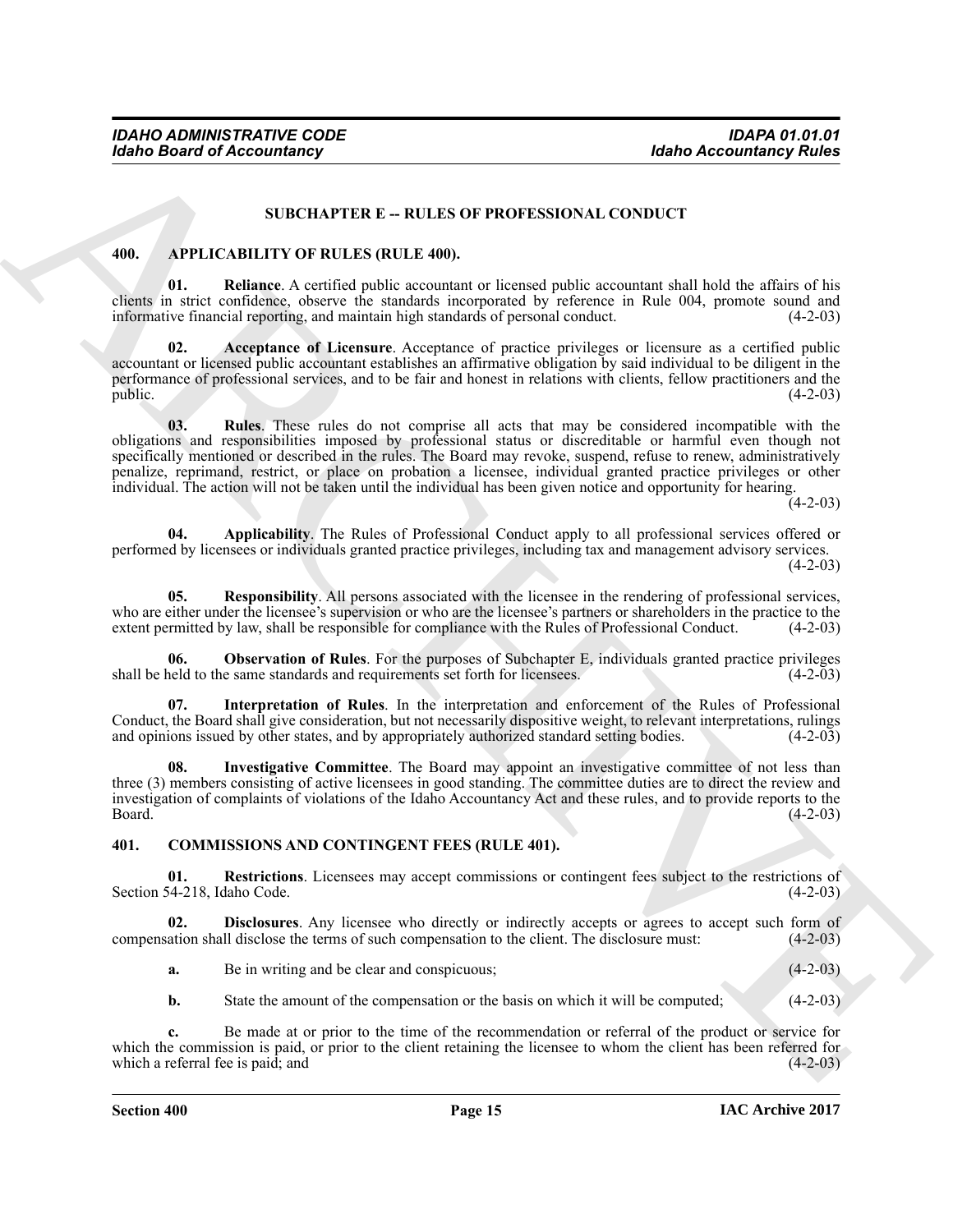#### <span id="page-14-8"></span>**SUBCHAPTER E -- RULES OF PROFESSIONAL CONDUCT**

#### <span id="page-14-2"></span><span id="page-14-0"></span>**400. APPLICABILITY OF RULES (RULE 400).**

**01. Reliance**. A certified public accountant or licensed public accountant shall hold the affairs of his clients in strict confidence, observe the standards incorporated by reference in Rule 004, promote sound and informative financial reporting, and maintain high standards of personal conduct. (4-2-03) informative financial reporting, and maintain high standards of personal conduct.

<span id="page-14-10"></span><span id="page-14-3"></span>**02. Acceptance of Licensure**. Acceptance of practice privileges or licensure as a certified public accountant or licensed public accountant establishes an affirmative obligation by said individual to be diligent in the performance of professional services, and to be fair and honest in relations with clients, fellow practitioners and the public.  $(4-2-03)$ 

**Example 2**<br> **ARCHIVETER E - RULLES OF PROPESSIONAL CONDUCT**<br> **ARCHIVETER E - RULLES OF PROPESSIONAL CONDUCT**<br> **ARCHIVETER C - RULLES OF PROPESSIONAL CONDUCT**<br> **ARCHIVETER C - RULLES OF PROPESSIONAL CONDUCT**<br> **ARCHIVETER 03. Rules**. These rules do not comprise all acts that may be considered incompatible with the obligations and responsibilities imposed by professional status or discreditable or harmful even though not specifically mentioned or described in the rules. The Board may revoke, suspend, refuse to renew, administratively penalize, reprimand, restrict, or place on probation a licensee, individual granted practice privileges or other individual. The action will not be taken until the individual has been given notice and opportunity for hearing.

 $(4-2-03)$ 

<span id="page-14-4"></span>**04. Applicability**. The Rules of Professional Conduct apply to all professional services offered or performed by licensees or individuals granted practice privileges, including tax and management advisory services.

 $(4-2-03)$ 

<span id="page-14-9"></span>**05. Responsibility**. All persons associated with the licensee in the rendering of professional services, who are either under the licensee's supervision or who are the licensee's partners or shareholders in the practice to the extent permitted by law, shall be responsible for compliance with the Rules of Professional Conduct. extent permitted by law, shall be responsible for compliance with the Rules of Professional Conduct.

<span id="page-14-7"></span>**06. Observation of Rules**. For the purposes of Subchapter E, individuals granted practice privileges held to the same standards and requirements set forth for licensees. (4-2-03) shall be held to the same standards and requirements set forth for licensees.

<span id="page-14-5"></span>**07. Interpretation of Rules**. In the interpretation and enforcement of the Rules of Professional Conduct, the Board shall give consideration, but not necessarily dispositive weight, to relevant interpretations, rulings and opinions issued by other states, and by appropriately authorized standard setting bodies. (4-2-0 and opinions issued by other states, and by appropriately authorized standard setting bodies.

<span id="page-14-6"></span>**08. Investigative Committee**. The Board may appoint an investigative committee of not less than three (3) members consisting of active licensees in good standing. The committee duties are to direct the review and investigation of complaints of violations of the Idaho Accountancy Act and these rules, and to provide reports to the  $Board.$  (4-2-03)

#### <span id="page-14-11"></span><span id="page-14-1"></span>**401. COMMISSIONS AND CONTINGENT FEES (RULE 401).**

<span id="page-14-13"></span>**01.** Restrictions. Licensees may accept commissions or contingent fees subject to the restrictions of  $(4-2-03)$ Section 54-218, Idaho Code.

**02. Disclosures**. Any licensee who directly or indirectly accepts or agrees to accept such form of ation shall disclose the terms of such compensation to the client. The disclosure must:  $(4-2-03)$ compensation shall disclose the terms of such compensation to the client. The disclosure must:

<span id="page-14-12"></span>

| а. | Be in writing and be clear and conspicuous; |  | $(4-2-03)$ |  |
|----|---------------------------------------------|--|------------|--|
|----|---------------------------------------------|--|------------|--|

**b.** State the amount of the compensation or the basis on which it will be computed; (4-2-03)

**c.** Be made at or prior to the time of the recommendation or referral of the product or service for which the commission is paid, or prior to the client retaining the licensee to whom the client has been referred for which a referral fee is paid; and (4-2-03) which a referral fee is paid; and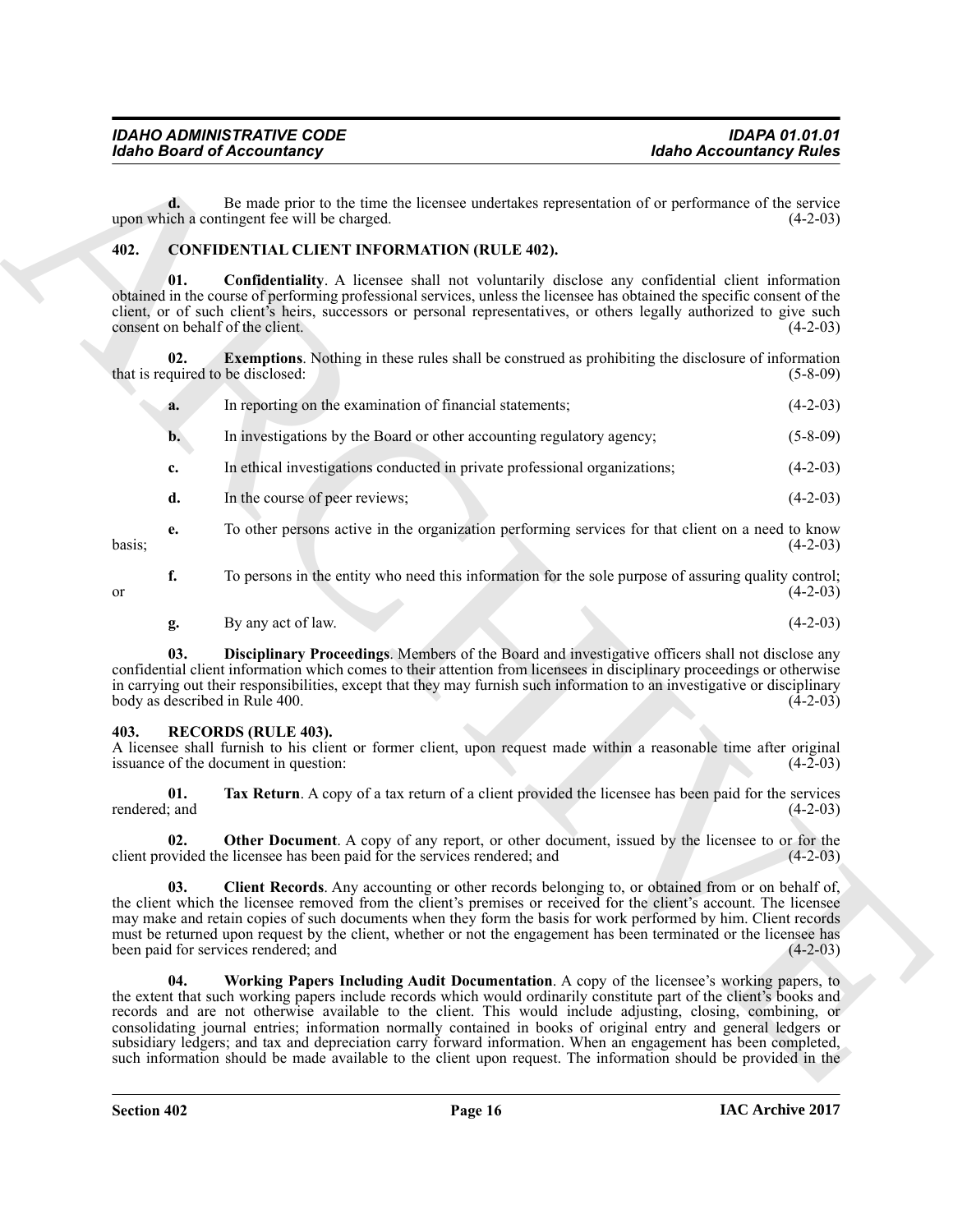#### <span id="page-15-5"></span><span id="page-15-3"></span><span id="page-15-2"></span><span id="page-15-0"></span>**402. CONFIDENTIAL CLIENT INFORMATION (RULE 402).**

|                      | <b>Idaho Board of Accountancy</b>                                                                                                                                                                                                                                                                                                                                                                                                                                                                                                                                     | <b>Idaho Accountancy Rules</b>                                                                                  |            |
|----------------------|-----------------------------------------------------------------------------------------------------------------------------------------------------------------------------------------------------------------------------------------------------------------------------------------------------------------------------------------------------------------------------------------------------------------------------------------------------------------------------------------------------------------------------------------------------------------------|-----------------------------------------------------------------------------------------------------------------|------------|
| d.                   | Be made prior to the time the licensee undertakes representation of or performance of the service<br>upon which a contingent fee will be charged.                                                                                                                                                                                                                                                                                                                                                                                                                     |                                                                                                                 | $(4-2-03)$ |
| 402.                 | <b>CONFIDENTIAL CLIENT INFORMATION (RULE 402).</b>                                                                                                                                                                                                                                                                                                                                                                                                                                                                                                                    |                                                                                                                 |            |
| 01.                  | <b>Confidentiality.</b> A licensee shall not voluntarily disclose any confidential client information<br>obtained in the course of performing professional services, unless the licensee has obtained the specific consent of the<br>client, or of such client's heirs, successors or personal representatives, or others legally authorized to give such<br>consent on behalf of the client.                                                                                                                                                                         |                                                                                                                 | $(4-2-03)$ |
| 02.                  | <b>Exemptions.</b> Nothing in these rules shall be construed as prohibiting the disclosure of information<br>that is required to be disclosed:                                                                                                                                                                                                                                                                                                                                                                                                                        |                                                                                                                 | $(5-8-09)$ |
| a.                   | In reporting on the examination of financial statements;                                                                                                                                                                                                                                                                                                                                                                                                                                                                                                              |                                                                                                                 | $(4-2-03)$ |
| $\mathbf{b}$ .       | In investigations by the Board or other accounting regulatory agency;                                                                                                                                                                                                                                                                                                                                                                                                                                                                                                 |                                                                                                                 | $(5-8-09)$ |
| c.                   | In ethical investigations conducted in private professional organizations;                                                                                                                                                                                                                                                                                                                                                                                                                                                                                            |                                                                                                                 | $(4-2-03)$ |
| d.                   | In the course of peer reviews;                                                                                                                                                                                                                                                                                                                                                                                                                                                                                                                                        |                                                                                                                 | $(4-2-03)$ |
| e.<br>basis;         | To other persons active in the organization performing services for that client on a need to know                                                                                                                                                                                                                                                                                                                                                                                                                                                                     |                                                                                                                 | $(4-2-03)$ |
| f.<br>or             | To persons in the entity who need this information for the sole purpose of assuring quality control;                                                                                                                                                                                                                                                                                                                                                                                                                                                                  |                                                                                                                 | $(4-2-03)$ |
| g.                   | By any act of law.                                                                                                                                                                                                                                                                                                                                                                                                                                                                                                                                                    |                                                                                                                 | $(4-2-03)$ |
| 03.                  | Disciplinary Proceedings. Members of the Board and investigative officers shall not disclose any<br>confidential client information which comes to their attention from licensees in disciplinary proceedings or otherwise<br>in carrying out their responsibilities, except that they may furnish such information to an investigative or disciplinary<br>body as described in Rule 400.                                                                                                                                                                             |                                                                                                                 | $(4-2-03)$ |
| 403.                 | <b>RECORDS (RULE 403).</b><br>A licensee shall furnish to his client or former client, upon request made within a reasonable time after original<br>issuance of the document in question:                                                                                                                                                                                                                                                                                                                                                                             |                                                                                                                 | $(4-2-03)$ |
| 01.<br>rendered; and | Tax Return. A copy of a tax return of a client provided the licensee has been paid for the services                                                                                                                                                                                                                                                                                                                                                                                                                                                                   |                                                                                                                 | $(4-2-03)$ |
| 02.                  | Other Document. A copy of any report, or other document, issued by the licensee to or for the<br>client provided the licensee has been paid for the services rendered; and                                                                                                                                                                                                                                                                                                                                                                                            |                                                                                                                 | $(4-2-03)$ |
| 03.                  | Client Records. Any accounting or other records belonging to, or obtained from or on behalf of,<br>the client which the licensee removed from the client's premises or received for the client's account. The licensee<br>may make and retain copies of such documents when they form the basis for work performed by him. Client records<br>must be returned upon request by the client, whether or not the engagement has been terminated or the licensee has<br>been paid for services rendered; and                                                               |                                                                                                                 | $(4-2-03)$ |
| 04.                  | Working Papers Including Audit Documentation. A copy of the licensee's working papers, to<br>the extent that such working papers include records which would ordinarily constitute part of the client's books and<br>records and are not otherwise available to the client. This would include adjusting, closing, combining, or<br>consolidating journal entries; information normally contained in books of original entry and general ledgers or<br>subsidiary ledgers; and tax and depreciation carry forward information. When an engagement has been completed, | such information should be made available to the client upon request. The information should be provided in the |            |

#### <span id="page-15-10"></span><span id="page-15-9"></span><span id="page-15-8"></span><span id="page-15-7"></span><span id="page-15-6"></span><span id="page-15-4"></span><span id="page-15-1"></span>**403. RECORDS (RULE 403).**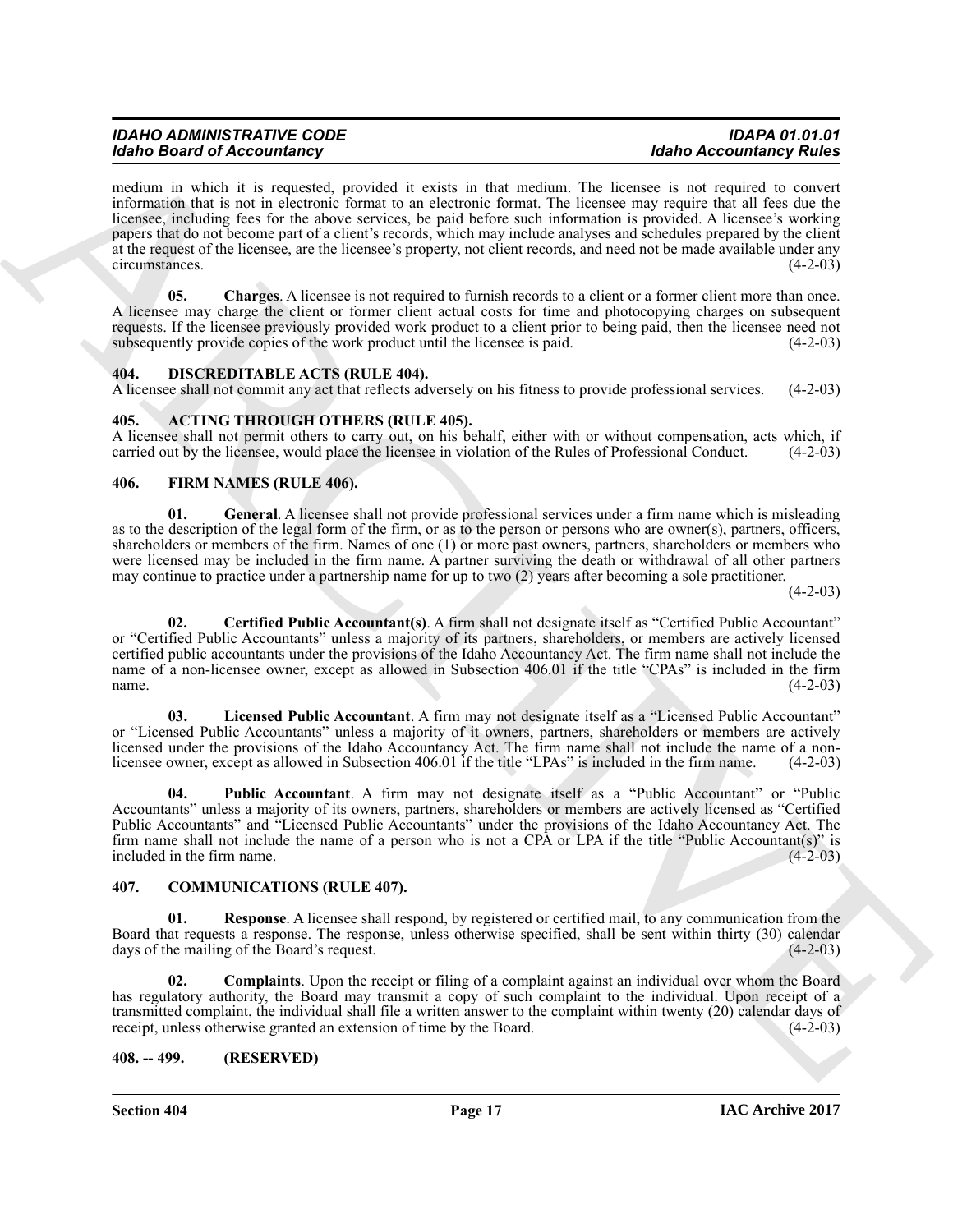Mode Beatro of According to provide the same state in light based and the same state of According Tower Control in the same state of the same state of the same state of the same state of the same state of the same state o medium in which it is requested, provided it exists in that medium. The licensee is not required to convert information that is not in electronic format to an electronic format. The licensee may require that all fees due the licensee, including fees for the above services, be paid before such information is provided. A licensee's working papers that do not become part of a client's records, which may include analyses and schedules prepared by the client at the request of the licensee, are the licensee's property, not client records, and need not be made available under any circumstances. (4-2-03)

<span id="page-16-15"></span>**05.** Charges. A licensee is not required to furnish records to a client or a former client more than once. A licensee may charge the client or former client actual costs for time and photocopying charges on subsequent requests. If the licensee previously provided work product to a client prior to being paid, then the licensee need not subsequently provide copies of the work product until the licensee is paid.  $(4-2-03)$ subsequently provide copies of the work product until the licensee is paid.

#### <span id="page-16-9"></span><span id="page-16-0"></span>**404. DISCREDITABLE ACTS (RULE 404).**

A licensee shall not commit any act that reflects adversely on his fitness to provide professional services. (4-2-03)

#### <span id="page-16-5"></span><span id="page-16-1"></span>**405. ACTING THROUGH OTHERS (RULE 405).**

A licensee shall not permit others to carry out, on his behalf, either with or without compensation, acts which, if carried out by the licensee, would place the licensee in violation of the Rules of Professional Conduct. ( carried out by the licensee, would place the licensee in violation of the Rules of Professional Conduct.

#### <span id="page-16-10"></span><span id="page-16-2"></span>**406. FIRM NAMES (RULE 406).**

<span id="page-16-12"></span>**01. General**. A licensee shall not provide professional services under a firm name which is misleading as to the description of the legal form of the firm, or as to the person or persons who are owner(s), partners, officers, shareholders or members of the firm. Names of one (1) or more past owners, partners, shareholders or members who were licensed may be included in the firm name. A partner surviving the death or withdrawal of all other partners may continue to practice under a partnership name for up to two (2) years after becoming a sole practitioner.

 $(4-2-03)$ 

<span id="page-16-11"></span>**02. Certified Public Accountant(s)**. A firm shall not designate itself as "Certified Public Accountant" or "Certified Public Accountants" unless a majority of its partners, shareholders, or members are actively licensed certified public accountants under the provisions of the Idaho Accountancy Act. The firm name shall not include the name of a non-licensee owner, except as allowed in Subsection 406.01 if the title "CPAs" is included in the firm  $n = (4-2-03)$ 

<span id="page-16-13"></span>**03. Licensed Public Accountant**. A firm may not designate itself as a "Licensed Public Accountant" or "Licensed Public Accountants" unless a majority of it owners, partners, shareholders or members are actively licensed under the provisions of the Idaho Accountancy Act. The firm name shall not include the name of a nonlicensee owner, except as allowed in Subsection 406.01 if the title "LPAs" is included in the firm name. (4-2-03)

<span id="page-16-14"></span>**04. Public Accountant**. A firm may not designate itself as a "Public Accountant" or "Public Accountants" unless a majority of its owners, partners, shareholders or members are actively licensed as "Certified Public Accountants" and "Licensed Public Accountants" under the provisions of the Idaho Accountancy Act. The firm name shall not include the name of a person who is not a CPA or LPA if the title "Public Accountant(s)" is included in the firm name.

#### <span id="page-16-6"></span><span id="page-16-3"></span>**407. COMMUNICATIONS (RULE 407).**

<span id="page-16-8"></span>**Response**. A licensee shall respond, by registered or certified mail, to any communication from the Board that requests a response. The response, unless otherwise specified, shall be sent within thirty (30) calendar days of the mailing of the Board's request. days of the mailing of the Board's request.

<span id="page-16-7"></span>**02. Complaints**. Upon the receipt or filing of a complaint against an individual over whom the Board has regulatory authority, the Board may transmit a copy of such complaint to the individual. Upon receipt of a transmitted complaint, the individual shall file a written answer to the complaint within twenty (20) calendar days of receipt, unless otherwise granted an extension of time by the Board. (4-2-03) receipt, unless otherwise granted an extension of time by the Board.

#### <span id="page-16-4"></span>**408. -- 499. (RESERVED)**

**Section 404 Page 17**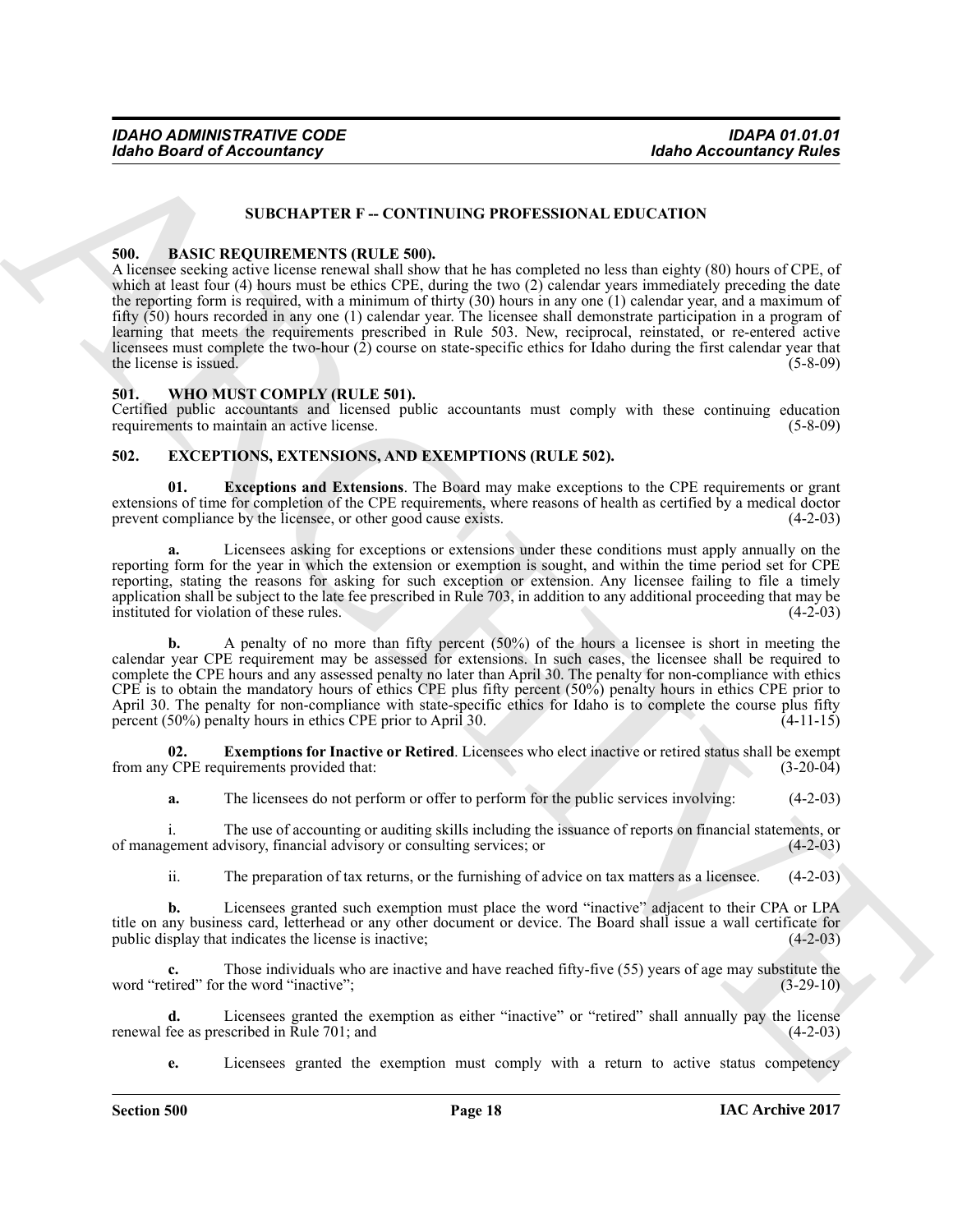#### **SUBCHAPTER F -- CONTINUING PROFESSIONAL EDUCATION**

#### <span id="page-17-3"></span><span id="page-17-0"></span>**500. BASIC REQUIREMENTS (RULE 500).**

**Example Beare of Accountancy**<br>
SUBCHAPTER F - CONTINUES PROTESSIONAL EDUCATION<br>
SUBCHAPTER F - CONTINUES PROTESSIONAL EDUCATION<br>
SUBCHAPTER F - CONTINUES PROTESSIONAL EDUCATION<br>
A hugens reside that the method of the st A licensee seeking active license renewal shall show that he has completed no less than eighty (80) hours of CPE, of which at least four (4) hours must be ethics CPE, during the two (2) calendar years immediately preceding the date the reporting form is required, with a minimum of thirty (30) hours in any one (1) calendar year, and a maximum of fifty (50) hours recorded in any one (1) calendar year. The licensee shall demonstrate participation in a program of learning that meets the requirements prescribed in Rule 503. New, reciprocal, reinstated, or re-entered active licensees must complete the two-hour (2) course on state-specific ethics for Idaho during the first calendar year that the license is issued.  $(5-8-09)$ 

#### <span id="page-17-7"></span><span id="page-17-1"></span>**501. WHO MUST COMPLY (RULE 501).**

Certified public accountants and licensed public accountants must comply with these continuing education requirements to maintain an active license. (5-8-09)

#### <span id="page-17-4"></span><span id="page-17-2"></span>**502. EXCEPTIONS, EXTENSIONS, AND EXEMPTIONS (RULE 502).**

<span id="page-17-5"></span>**01. Exceptions and Extensions**. The Board may make exceptions to the CPE requirements or grant extensions of time for completion of the CPE requirements, where reasons of health as certified by a medical doctor prevent compliance by the licensee, or other good cause exists. (4-2-03) prevent compliance by the licensee, or other good cause exists.

Licensees asking for exceptions or extensions under these conditions must apply annually on the reporting form for the year in which the extension or exemption is sought, and within the time period set for CPE reporting, stating the reasons for asking for such exception or extension. Any licensee failing to file a timely application shall be subject to the late fee prescribed in Rule 703, in addition to any additional proceeding that may be instituted for violation of these rules. (4-2-03)

**b.** A penalty of no more than fifty percent (50%) of the hours a licensee is short in meeting the calendar year CPE requirement may be assessed for extensions. In such cases, the licensee shall be required to complete the CPE hours and any assessed penalty no later than April 30. The penalty for non-compliance with ethics CPE is to obtain the mandatory hours of ethics CPE plus fifty percent (50%) penalty hours in ethics CPE prior to April 30. The penalty for non-compliance with state-specific ethics for Idaho is to complete the course plus fifty percent (50%) penalty hours in ethics CPE prior to April 30. (4-11-15) percent  $(50\%)$  penalty hours in ethics CPE prior to April 30.

**02. Exemptions for Inactive or Retired**. Licensees who elect inactive or retired status shall be exempt  $(3-20-04)$ from any CPE requirements provided that:

<span id="page-17-6"></span>**a.** The licensees do not perform or offer to perform for the public services involving:  $(4-2-03)$ 

i. The use of accounting or auditing skills including the issuance of reports on financial statements, or genent advisory, financial advisory or consulting services; or  $(4-2-03)$ of management advisory, financial advisory or consulting services; or (4-2-03)

ii. The preparation of tax returns, or the furnishing of advice on tax matters as a licensee. (4-2-03)

**b.** Licensees granted such exemption must place the word "inactive" adjacent to their CPA or LPA title on any business card, letterhead or any other document or device. The Board shall issue a wall certificate for public display that indicates the license is inactive; (4-2-03) public display that indicates the license is inactive;

**c.** Those individuals who are inactive and have reached fifty-five (55) years of age may substitute the tired" for the word "inactive": (3-29-10) word "retired" for the word "inactive";

**d.** Licensees granted the exemption as either "inactive" or "retired" shall annually pay the license fee as prescribed in Rule 701: and (4-2-03) renewal fee as prescribed in Rule  $701$ ; and

**e.** Licensees granted the exemption must comply with a return to active status competency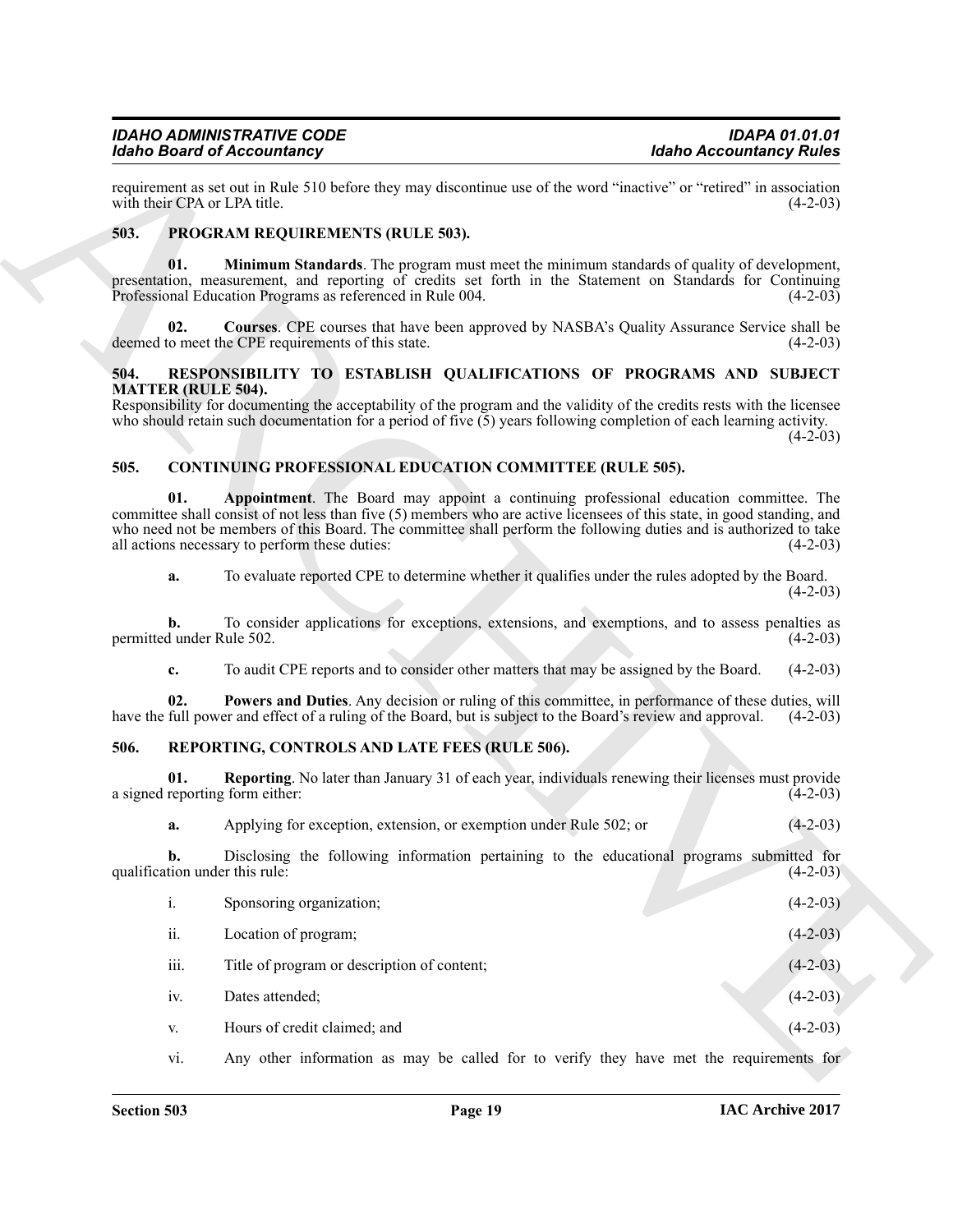#### <span id="page-18-9"></span><span id="page-18-7"></span><span id="page-18-0"></span>**503. PROGRAM REQUIREMENTS (RULE 503).**

#### <span id="page-18-12"></span><span id="page-18-8"></span><span id="page-18-1"></span>**504. RESPONSIBILITY TO ESTABLISH QUALIFICATIONS OF PROGRAMS AND SUBJECT MATTER (RULE 504).**

#### <span id="page-18-5"></span><span id="page-18-4"></span><span id="page-18-2"></span>**505. CONTINUING PROFESSIONAL EDUCATION COMMITTEE (RULE 505).**

#### <span id="page-18-11"></span><span id="page-18-10"></span><span id="page-18-6"></span><span id="page-18-3"></span>**506. REPORTING, CONTROLS AND LATE FEES (RULE 506).**

|      | <b>Idaho Board of Accountancy</b>                                                                                  | <b>Idaho Accountancy Rules</b>                                                                                                                                                                                                                                                                                                                      |
|------|--------------------------------------------------------------------------------------------------------------------|-----------------------------------------------------------------------------------------------------------------------------------------------------------------------------------------------------------------------------------------------------------------------------------------------------------------------------------------------------|
|      | with their CPA or LPA title.                                                                                       | requirement as set out in Rule 510 before they may discontinue use of the word "inactive" or "retired" in association<br>$(4-2-03)$                                                                                                                                                                                                                 |
| 503. | PROGRAM REQUIREMENTS (RULE 503).                                                                                   |                                                                                                                                                                                                                                                                                                                                                     |
|      | 01.<br>Professional Education Programs as referenced in Rule 004.                                                  | <b>Minimum Standards</b> . The program must meet the minimum standards of quality of development,<br>presentation, measurement, and reporting of credits set forth in the Statement on Standards for Continuing<br>$(4-2-03)$                                                                                                                       |
|      | 02.<br>deemed to meet the CPE requirements of this state.                                                          | Courses. CPE courses that have been approved by NASBA's Quality Assurance Service shall be<br>$(4-2-03)$                                                                                                                                                                                                                                            |
| 504. |                                                                                                                    | RESPONSIBILITY TO ESTABLISH QUALIFICATIONS OF PROGRAMS AND SUBJECT                                                                                                                                                                                                                                                                                  |
|      | <b>MATTER (RULE 504).</b>                                                                                          | Responsibility for documenting the acceptability of the program and the validity of the credits rests with the licensee<br>who should retain such documentation for a period of five $(5)$ years following completion of each learning activity.<br>$(4-2-03)$                                                                                      |
| 505. | CONTINUING PROFESSIONAL EDUCATION COMMITTEE (RULE 505).                                                            |                                                                                                                                                                                                                                                                                                                                                     |
|      | 01.<br>all actions necessary to perform these duties:                                                              | Appointment. The Board may appoint a continuing professional education committee. The<br>committee shall consist of not less than five (5) members who are active licensees of this state, in good standing, and<br>who need not be members of this Board. The committee shall perform the following duties and is authorized to take<br>$(4-2-03)$ |
|      | a.                                                                                                                 | To evaluate reported CPE to determine whether it qualifies under the rules adopted by the Board.<br>$(4-2-03)$                                                                                                                                                                                                                                      |
|      | b.<br>permitted under Rule 502.                                                                                    | To consider applications for exceptions, extensions, and exemptions, and to assess penalties as<br>$(4-2-03)$                                                                                                                                                                                                                                       |
|      | c.                                                                                                                 | To audit CPE reports and to consider other matters that may be assigned by the Board.<br>$(4-2-03)$                                                                                                                                                                                                                                                 |
|      | 02.<br>have the full power and effect of a ruling of the Board, but is subject to the Board's review and approval. | Powers and Duties. Any decision or ruling of this committee, in performance of these duties, will<br>$(4-2-03)$                                                                                                                                                                                                                                     |
| 506. | REPORTING, CONTROLS AND LATE FEES (RULE 506).                                                                      |                                                                                                                                                                                                                                                                                                                                                     |
|      | 01.<br>a signed reporting form either:                                                                             | <b>Reporting.</b> No later than January 31 of each year, individuals renewing their licenses must provide<br>$(4-2-03)$                                                                                                                                                                                                                             |
|      | Applying for exception, extension, or exemption under Rule 502; or<br>a.                                           | $(4-2-03)$                                                                                                                                                                                                                                                                                                                                          |
|      | b.<br>qualification under this rule:                                                                               | Disclosing the following information pertaining to the educational programs submitted for<br>$(4-2-03)$                                                                                                                                                                                                                                             |
|      | $\dot{\textbf{i}}$<br>Sponsoring organization;                                                                     | $(4-2-03)$                                                                                                                                                                                                                                                                                                                                          |
|      | ii.<br>Location of program;                                                                                        | $(4-2-03)$                                                                                                                                                                                                                                                                                                                                          |
|      | iii.<br>Title of program or description of content;                                                                | $(4-2-03)$                                                                                                                                                                                                                                                                                                                                          |
|      | iv.<br>Dates attended;                                                                                             | $(4-2-03)$                                                                                                                                                                                                                                                                                                                                          |
|      | Hours of credit claimed; and<br>V.                                                                                 | $(4-2-03)$                                                                                                                                                                                                                                                                                                                                          |
|      | vi.                                                                                                                | Any other information as may be called for to verify they have met the requirements for                                                                                                                                                                                                                                                             |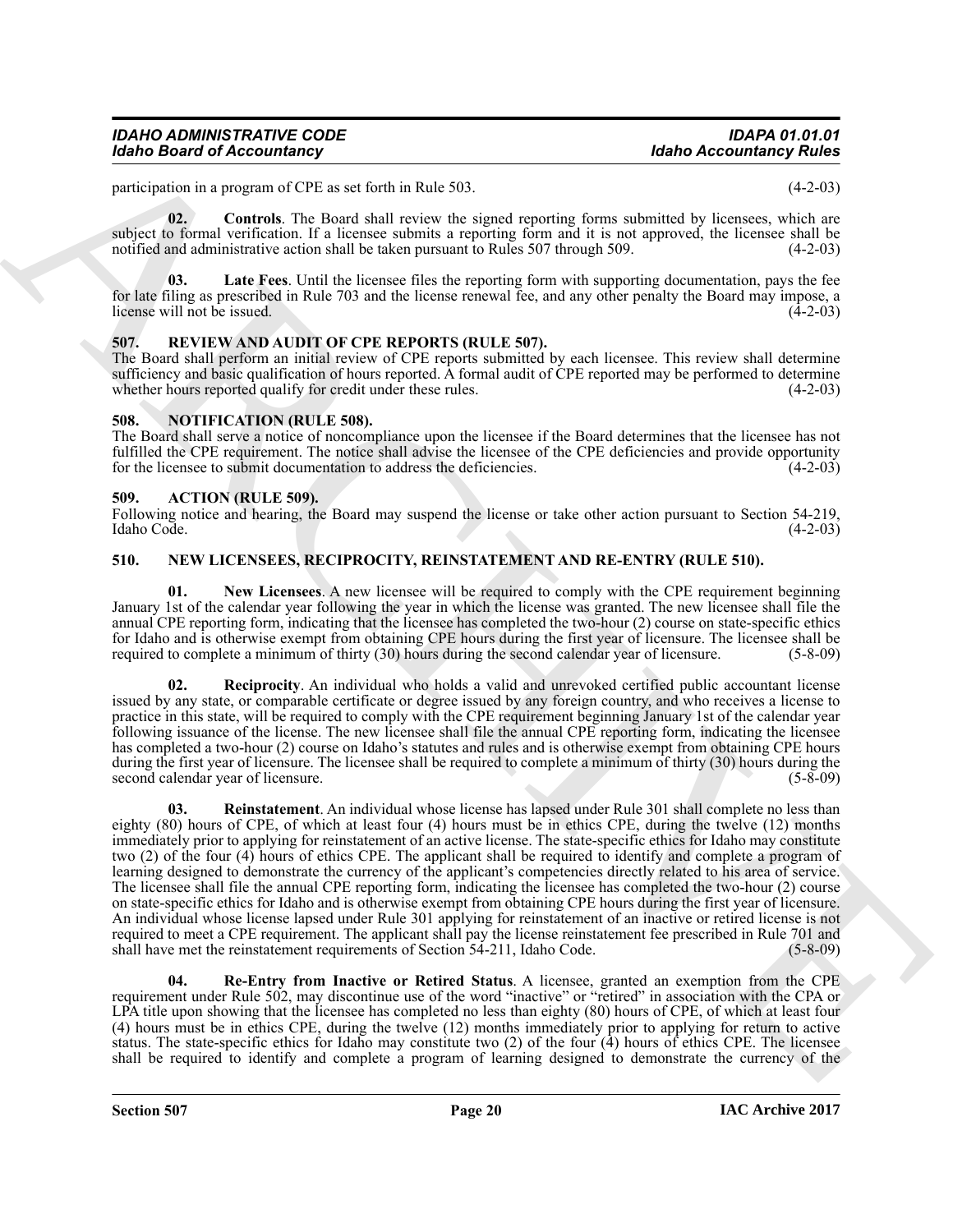participation in a program of CPE as set forth in Rule 503. (4-2-03)

<span id="page-19-11"></span>**02. Controls**. The Board shall review the signed reporting forms submitted by licensees, which are subject to formal verification. If a licensee submits a reporting form and it is not approved, the licensee shall be notified and administrative action shall be taken pursuant to Rules 507 through 509. (4-2-03)

<span id="page-19-12"></span>**03. Late Fees**. Until the licensee files the reporting form with supporting documentation, pays the fee for late filing as prescribed in Rule 703 and the license renewal fee, and any other penalty the Board may impose, a license will not be issued. (4-2-03)

#### <span id="page-19-13"></span><span id="page-19-0"></span>**507. REVIEW AND AUDIT OF CPE REPORTS (RULE 507).**

The Board shall perform an initial review of CPE reports submitted by each licensee. This review shall determine sufficiency and basic qualification of hours reported. A formal audit of CPE reported may be performed to determine whether hours reported qualify for credit under these rules. (4-2-03) whether hours reported qualify for credit under these rules.

#### <span id="page-19-10"></span><span id="page-19-1"></span>**508. NOTIFICATION (RULE 508).**

The Board shall serve a notice of noncompliance upon the licensee if the Board determines that the licensee has not fulfilled the CPE requirement. The notice shall advise the licensee of the CPE deficiencies and provide opportunity for the licensee to submit documentation to address the deficiencies. (4-2-03)

#### <span id="page-19-4"></span><span id="page-19-2"></span>**509. ACTION (RULE 509).**

Following notice and hearing, the Board may suspend the license or take other action pursuant to Section 54-219, Idaho Code. (4-2-03) Idaho Code. (4-2-03)

#### <span id="page-19-5"></span><span id="page-19-3"></span>**510. NEW LICENSEES, RECIPROCITY, REINSTATEMENT AND RE-ENTRY (RULE 510).**

<span id="page-19-6"></span>**01.** New Licensees. A new licensee will be required to comply with the CPE requirement beginning January 1st of the calendar year following the year in which the license was granted. The new licensee shall file the annual CPE reporting form, indicating that the licensee has completed the two-hour (2) course on state-specific ethics for Idaho and is otherwise exempt from obtaining CPE hours during the first year of licensure. The licensee shall be required to complete a minimum of thirty (30) hours during the second calendar year of licensure. (5-8-09 required to complete a minimum of thirty (30) hours during the second calendar year of licensure.

<span id="page-19-9"></span><span id="page-19-7"></span>**Reciprocity**. An individual who holds a valid and unrevoked certified public accountant license issued by any state, or comparable certificate or degree issued by any foreign country, and who receives a license to practice in this state, will be required to comply with the CPE requirement beginning January 1st of the calendar year following issuance of the license. The new licensee shall file the annual CPE reporting form, indicating the licensee has completed a two-hour (2) course on Idaho's statutes and rules and is otherwise exempt from obtaining CPE hours during the first year of licensure. The licensee shall be required to complete a minimum of thirty (30) hours during the second calendar year of licensure. (5-8-09) (5-8-09)

Mohe Beared of Accountaincy<br>
procedure a space of U.S. as S. Kirkuta Rais 333.<br>
procedure a space of U.S. as S. Kirkuta Rais 333.<br>
procedure a space of U.S. as S. Kirkuta Rais 335.<br>
and some comparison in the form of the **03. Reinstatement**. An individual whose license has lapsed under Rule 301 shall complete no less than eighty (80) hours of CPE, of which at least four (4) hours must be in ethics CPE, during the twelve (12) months immediately prior to applying for reinstatement of an active license. The state-specific ethics for Idaho may constitute two (2) of the four (4) hours of ethics CPE. The applicant shall be required to identify and complete a program of learning designed to demonstrate the currency of the applicant's competencies directly related to his area of service. The licensee shall file the annual CPE reporting form, indicating the licensee has completed the two-hour (2) course on state-specific ethics for Idaho and is otherwise exempt from obtaining CPE hours during the first year of licensure. An individual whose license lapsed under Rule 301 applying for reinstatement of an inactive or retired license is not required to meet a CPE requirement. The applicant shall pay the license reinstatement fee prescribed in Rule 701 and shall have met the reinstatement requirements of Section 54-211, Idaho Code. (5-8-09) shall have met the reinstatement requirements of Section 54-211, Idaho Code.

<span id="page-19-8"></span>**04. Re-Entry from Inactive or Retired Status**. A licensee, granted an exemption from the CPE requirement under Rule 502, may discontinue use of the word "inactive" or "retired" in association with the CPA or LPA title upon showing that the licensee has completed no less than eighty (80) hours of CPE, of which at least four (4) hours must be in ethics CPE, during the twelve (12) months immediately prior to applying for return to active status. The state-specific ethics for Idaho may constitute two (2) of the four (4) hours of ethics CPE. The licensee shall be required to identify and complete a program of learning designed to demonstrate the currency of the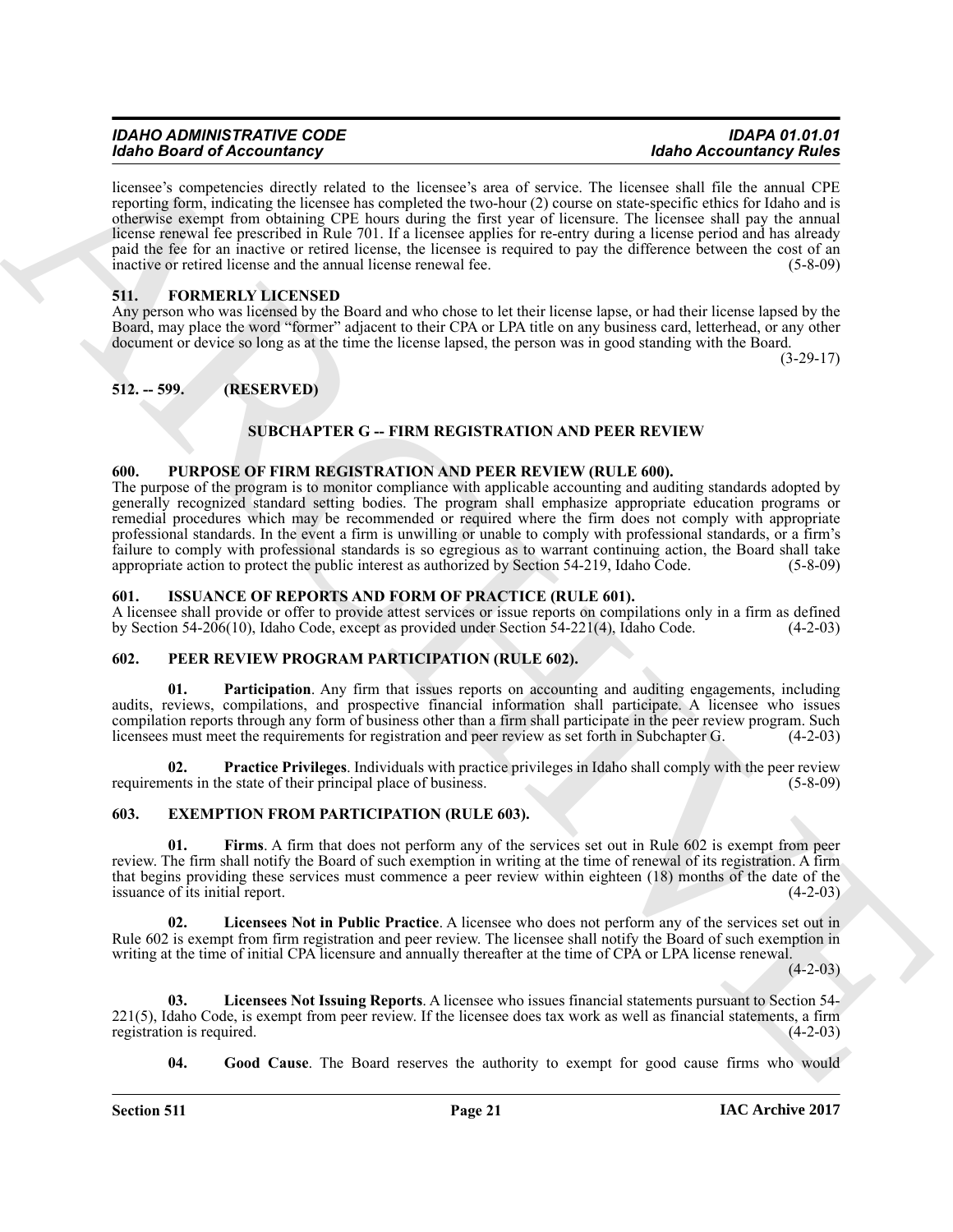| <b>IDAHO ADMINISTRATIVE CODE</b>  | <b>IDAPA 01.01.01</b>          |
|-----------------------------------|--------------------------------|
| <b>Idaho Board of Accountancy</b> | <b>Idaho Accountancy Rules</b> |

**Exhibit Beatrical Constraints** of the theoretical and the space of the space of the space of the space of the space of the space of the space of the space of the space of the space of the space of the space of the space licensee's competencies directly related to the licensee's area of service. The licensee shall file the annual CPE reporting form, indicating the licensee has completed the two-hour (2) course on state-specific ethics for Idaho and is otherwise exempt from obtaining CPE hours during the first year of licensure. The licensee shall pay the annual license renewal fee prescribed in Rule 701. If a licensee applies for re-entry during a license period and has already paid the fee for an inactive or retired license, the licensee is required to pay the difference between the cost of an inactive or retired license and the annual license renewal fee. (5-8-09)

#### <span id="page-20-11"></span><span id="page-20-0"></span>**511. FORMERLY LICENSED**

Any person who was licensed by the Board and who chose to let their license lapse, or had their license lapsed by the Board, may place the word "former" adjacent to their CPA or LPA title on any business card, letterhead, or any other document or device so long as at the time the license lapsed, the person was in good standing with the Board.

(3-29-17)

#### <span id="page-20-1"></span>**512. -- 599. (RESERVED)**

#### **SUBCHAPTER G -- FIRM REGISTRATION AND PEER REVIEW**

#### <span id="page-20-16"></span><span id="page-20-2"></span>**600. PURPOSE OF FIRM REGISTRATION AND PEER REVIEW (RULE 600).**

The purpose of the program is to monitor compliance with applicable accounting and auditing standards adopted by generally recognized standard setting bodies. The program shall emphasize appropriate education programs or remedial procedures which may be recommended or required where the firm does not comply with appropriate professional standards. In the event a firm is unwilling or unable to comply with professional standards, or a firm's failure to comply with professional standards is so egregious as to warrant continuing action, the Board shall take appropriate action to protect the public interest as authorized by Section 54-219, Idaho Code. (5-8-09)

#### <span id="page-20-12"></span><span id="page-20-3"></span>**601. ISSUANCE OF REPORTS AND FORM OF PRACTICE (RULE 601).**

A licensee shall provide or offer to provide attest services or issue reports on compilations only in a firm as defined<br>by Section 54-206(10), Idaho Code, except as provided under Section 54-221(4), Idaho Code. (4-2-03) by Section  $54-206(10)$ , Idaho Code, except as provided under Section  $54-221(4)$ , Idaho Code.

#### <span id="page-20-13"></span><span id="page-20-4"></span>**602. PEER REVIEW PROGRAM PARTICIPATION (RULE 602).**

<span id="page-20-14"></span>**01. Participation**. Any firm that issues reports on accounting and auditing engagements, including audits, reviews, compilations, and prospective financial information shall participate. A licensee who issues compilation reports through any form of business other than a firm shall participate in the peer review program. Such licensees must meet the requirements for registration and peer review as set forth in Subchapter G. (4-2 licensees must meet the requirements for registration and peer review as set forth in Subchapter G.

<span id="page-20-15"></span>**02. Practice Privileges**. Individuals with practice privileges in Idaho shall comply with the peer review requirements in the state of their principal place of business. (5-8-09)

#### <span id="page-20-6"></span><span id="page-20-5"></span>**603. EXEMPTION FROM PARTICIPATION (RULE 603).**

<span id="page-20-7"></span>Firms. A firm that does not perform any of the services set out in Rule 602 is exempt from peer review. The firm shall notify the Board of such exemption in writing at the time of renewal of its registration. A firm that begins providing these services must commence a peer review within eighteen (18) months of the date of the issuance of its initial report. (4-2-03) issuance of its initial report.

<span id="page-20-9"></span>**02. Licensees Not in Public Practice**. A licensee who does not perform any of the services set out in Rule 602 is exempt from firm registration and peer review. The licensee shall notify the Board of such exemption in writing at the time of initial CPA licensure and annually thereafter at the time of CPA or LPA license renewal.

 $(4-2-03)$ 

**03. Licensees Not Issuing Reports**. A licensee who issues financial statements pursuant to Section 54-  $221(5)$ , Idaho Code, is exempt from peer review. If the licensee does tax work as well as financial statements, a firm registration is required. registration is required.

<span id="page-20-10"></span><span id="page-20-8"></span>**04. Good Cause**. The Board reserves the authority to exempt for good cause firms who would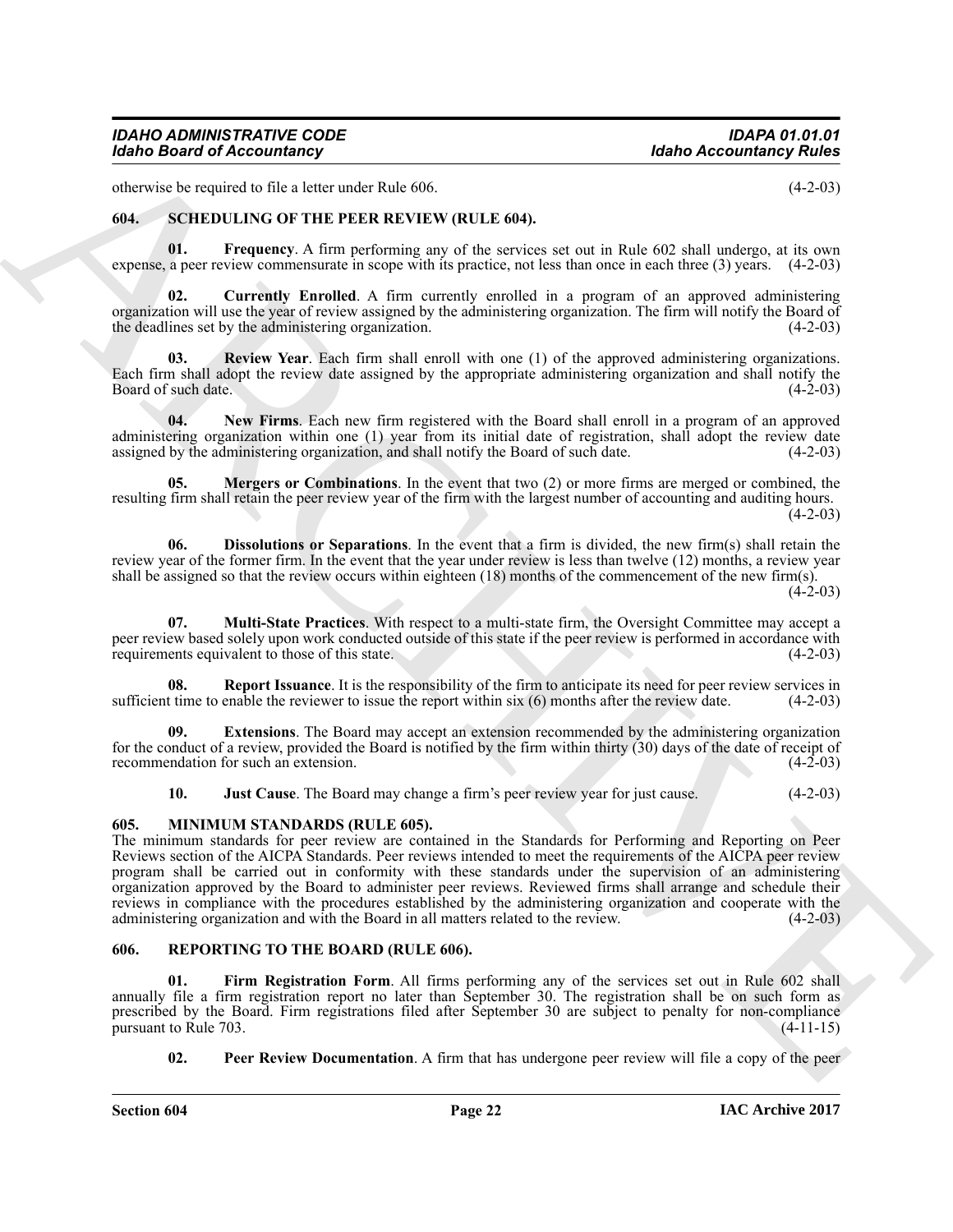otherwise be required to file a letter under Rule 606. (4-2-03)

#### <span id="page-21-11"></span><span id="page-21-7"></span><span id="page-21-0"></span>**604. SCHEDULING OF THE PEER REVIEW (RULE 604).**

**01. Frequency**. A firm performing any of the services set out in Rule 602 shall undergo, at its own expense, a peer review commensurate in scope with its practice, not less than once in each three (3) years. (4-2-03)

<span id="page-21-8"></span>**02. Currently Enrolled**. A firm currently enrolled in a program of an approved administering organization will use the year of review assigned by the administering organization. The firm will notify the Board of the deadlines set by the administering organization. (4-2-03)

<span id="page-21-17"></span>**Review Year**. Each firm shall enroll with one (1) of the approved administering organizations. Each firm shall adopt the review date assigned by the appropriate administering organization and shall notify the Board of such date.

<span id="page-21-15"></span>**04. New Firms**. Each new firm registered with the Board shall enroll in a program of an approved administering organization within one (1) year from its initial date of registration, shall adopt the review date assigned by the administering organization, and shall notify the Board of such date. (4-2-03) assigned by the administering organization, and shall notify the Board of such date.

<span id="page-21-13"></span>**05. Mergers or Combinations**. In the event that two (2) or more firms are merged or combined, the resulting firm shall retain the peer review year of the firm with the largest number of accounting and auditing hours.  $(4-2-03)$ 

<span id="page-21-9"></span>**06. Dissolutions or Separations**. In the event that a firm is divided, the new firm(s) shall retain the review year of the former firm. In the event that the year under review is less than twelve (12) months, a review year shall be assigned so that the review occurs within eighteen (18) months of the commencement of the new firm(s).  $(4-2-03)$ 

<span id="page-21-14"></span>**07. Multi-State Practices**. With respect to a multi-state firm, the Oversight Committee may accept a peer review based solely upon work conducted outside of this state if the peer review is performed in accordance with requirements equivalent to those of this state. (4-2-03) requirements equivalent to those of this state.

<span id="page-21-16"></span>**Report Issuance**. It is the responsibility of the firm to anticipate its need for peer review services in sufficient time to enable the reviewer to issue the report within six  $(6)$  months after the review date.  $(4-2-03)$ 

**09. Extensions**. The Board may accept an extension recommended by the administering organization for the conduct of a review, provided the Board is notified by the firm within thirty  $(30)$  days of the date of receipt of recommendation for such an extension.  $(4-2-03)$ recommendation for such an extension.

<span id="page-21-12"></span><span id="page-21-10"></span><span id="page-21-3"></span>**10. Just Cause**. The Board may change a firm's peer review year for just cause. (4-2-03)

#### <span id="page-21-1"></span>**605. MINIMUM STANDARDS (RULE 605).**

Moho Beard of Accountancy<br>
distributed by the Archivest state who has the total<br>
distributed by the state who has the total<br>
distributed by the state of the state of the state of the state of the state of the state of th The minimum standards for peer review are contained in the Standards for Performing and Reporting on Peer Reviews section of the AICPA Standards. Peer reviews intended to meet the requirements of the AICPA peer review program shall be carried out in conformity with these standards under the supervision of an administering organization approved by the Board to administer peer reviews. Reviewed firms shall arrange and schedule their reviews in compliance with the procedures established by the administering organization and cooperate with the administering organization and with the Board in all matters related to the review. (4-2-03)

#### <span id="page-21-4"></span><span id="page-21-2"></span>**606. REPORTING TO THE BOARD (RULE 606).**

Firm Registration Form. All firms performing any of the services set out in Rule 602 shall annually file a firm registration report no later than September 30. The registration shall be on such form as prescribed by the Board. Firm registrations filed after September 30 are subject to penalty for non-compliance pursuant to Rule 703.

<span id="page-21-6"></span><span id="page-21-5"></span>**02.** Peer Review Documentation. A firm that has undergone peer review will file a copy of the peer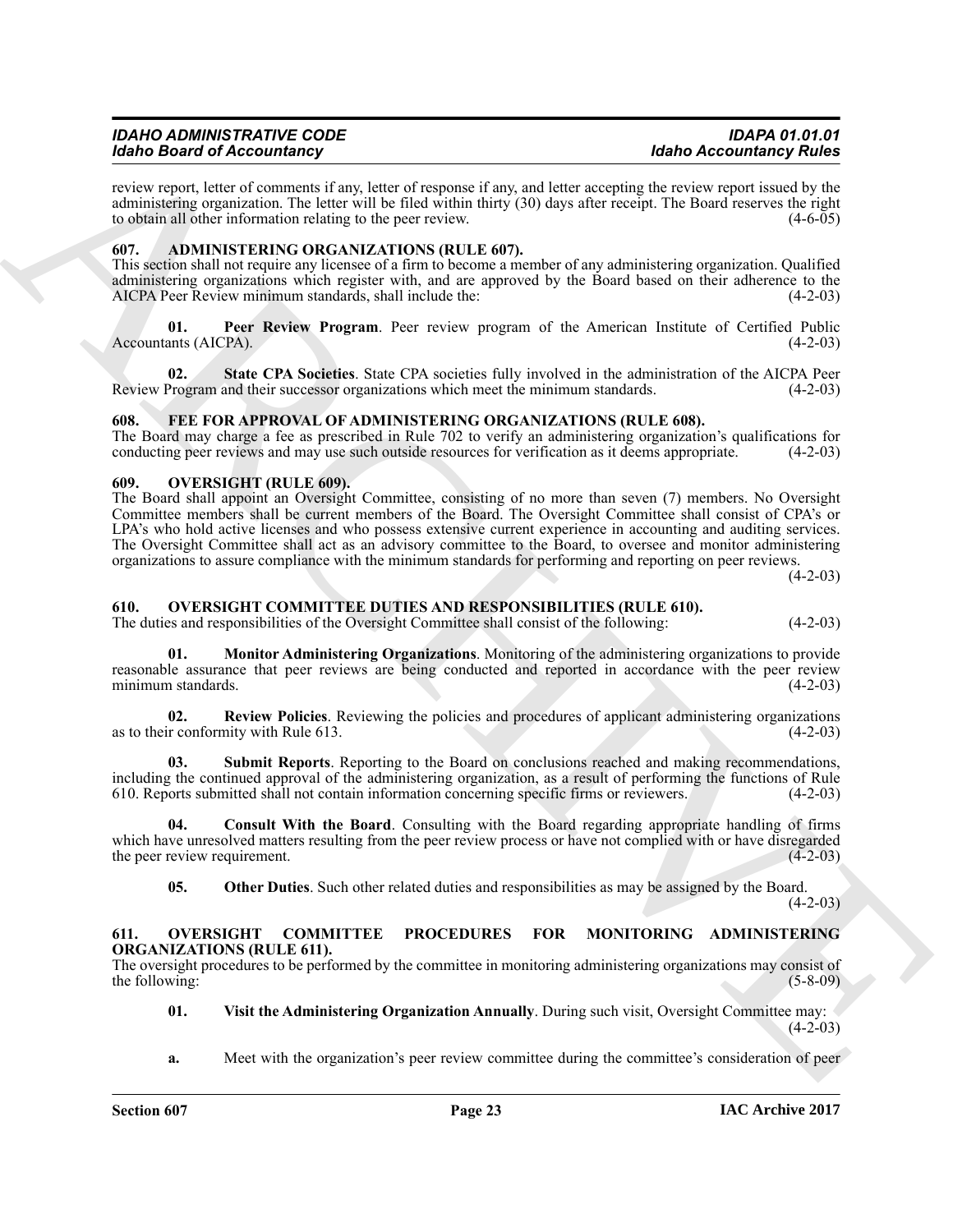review report, letter of comments if any, letter of response if any, and letter accepting the review report issued by the administering organization. The letter will be filed within thirty (30) days after receipt. The Board reserves the right to obtain all other information relating to the peer review. to obtain all other information relating to the peer review.

#### <span id="page-22-5"></span><span id="page-22-0"></span>**607. ADMINISTERING ORGANIZATIONS (RULE 607).**

This section shall not require any licensee of a firm to become a member of any administering organization. Qualified administering organizations which register with, and are approved by the Board based on their adherence to the AICPA Peer Review minimum standards, shall include the: (4-2-03)

<span id="page-22-6"></span>**01. Peer Review Program**. Peer review program of the American Institute of Certified Public Accountants (AICPA). (4-2-03)

<span id="page-22-7"></span>**02.** State CPA Societies. State CPA societies fully involved in the administration of the AICPA Peer Program and their successor organizations which meet the minimum standards. (4-2-03) Review Program and their successor organizations which meet the minimum standards.

#### <span id="page-22-8"></span><span id="page-22-1"></span>**608. FEE FOR APPROVAL OF ADMINISTERING ORGANIZATIONS (RULE 608).**

The Board may charge a fee as prescribed in Rule 702 to verify an administering organization's qualifications for conducting peer reviews and may use such outside resources for verification as it deems appropriate. (4-2-03 conducting peer reviews and may use such outside resources for verification as it deems appropriate.

#### <span id="page-22-9"></span><span id="page-22-2"></span>**609. OVERSIGHT (RULE 609).**

More Beatrical Control in Repubblic to the United States of the United Accounts (More Accounts and the United States) and the United States of the United States of the United States of the United States of the United Stat The Board shall appoint an Oversight Committee, consisting of no more than seven (7) members. No Oversight Committee members shall be current members of the Board. The Oversight Committee shall consist of CPA's or LPA's who hold active licenses and who possess extensive current experience in accounting and auditing services. The Oversight Committee shall act as an advisory committee to the Board, to oversee and monitor administering organizations to assure compliance with the minimum standards for performing and reporting on peer reviews.

 $(4-2-03)$ 

#### <span id="page-22-10"></span><span id="page-22-3"></span>**610. OVERSIGHT COMMITTEE DUTIES AND RESPONSIBILITIES (RULE 610).**

The duties and responsibilities of the Oversight Committee shall consist of the following: (4-2-03)

<span id="page-22-12"></span>**01. Monitor Administering Organizations**. Monitoring of the administering organizations to provide reasonable assurance that peer reviews are being conducted and reported in accordance with the peer review minimum standards. (4-2-03) minimum standards.

<span id="page-22-14"></span>**02.** Review Policies. Reviewing the policies and procedures of applicant administering organizations r conformity with Rule 613. (4-2-03) as to their conformity with Rule 613.

<span id="page-22-15"></span>**03. Submit Reports**. Reporting to the Board on conclusions reached and making recommendations, including the continued approval of the administering organization, as a result of performing the functions of Rule 610. Reports submitted shall not contain information concerning specific firms or reviewers. (4-2-03) 610. Reports submitted shall not contain information concerning specific firms or reviewers.

**04. Consult With the Board**. Consulting with the Board regarding appropriate handling of firms which have unresolved matters resulting from the peer review process or have not complied with or have disregarded the peer review requirement. (4-2-03) the peer review requirement.

<span id="page-22-16"></span><span id="page-22-13"></span><span id="page-22-11"></span>**05.** Other Duties. Such other related duties and responsibilities as may be assigned by the Board.

 $(4-2-03)$ 

#### <span id="page-22-4"></span>**611. OVERSIGHT COMMITTEE PROCEDURES FOR MONITORING ADMINISTERING ORGANIZATIONS (RULE 611).**

The oversight procedures to be performed by the committee in monitoring administering organizations may consist of the following:  $(5-8-09)$ 

<span id="page-22-17"></span>**01. Visit the Administering Organization Annually**. During such visit, Oversight Committee may:  $(4-2-03)$ 

**a.** Meet with the organization's peer review committee during the committee's consideration of peer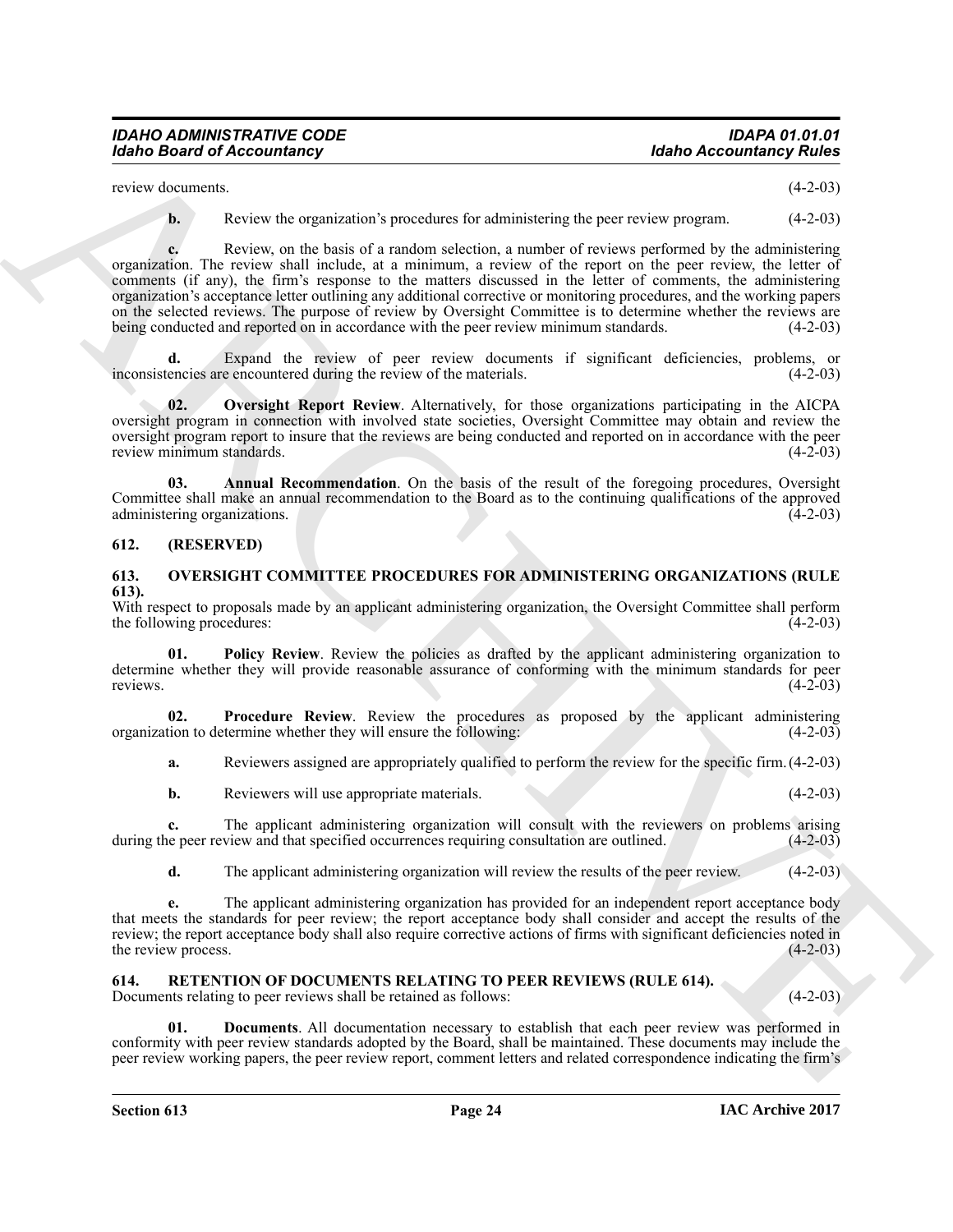| IDAHO ADMINISTRATIVE CODE         | IDAPA 01.01.01                 |
|-----------------------------------|--------------------------------|
| <b>Idaho Board of Accountancy</b> | <b>Idaho Accountancy Rules</b> |

review documents. (4-2-03)

**b.** Review the organization's procedures for administering the peer review program.  $(4-2-03)$ 

Moho Beard of Accountancy<br>
series the arguments of radius that shows the properties (4.4-30)<br>
series the arguments of radius and the state of the state of the state of the state of the state of the state of the state of **c.** Review, on the basis of a random selection, a number of reviews performed by the administering organization. The review shall include, at a minimum, a review of the report on the peer review, the letter of comments (if any), the firm's response to the matters discussed in the letter of comments, the administering organization's acceptance letter outlining any additional corrective or monitoring procedures, and the working papers on the selected reviews. The purpose of review by Oversight Committee is to determine whether the reviews are being conducted and reported on in accordance with the peer review minimum standards. (4-2-03)

**d.** Expand the review of peer review documents if significant deficiencies, problems, or encies are encountered during the review of the materials. (4-2-03) inconsistencies are encountered during the review of the materials.

<span id="page-23-7"></span>**02. Oversight Report Review**. Alternatively, for those organizations participating in the AICPA oversight program in connection with involved state societies, Oversight Committee may obtain and review the oversight program report to insure that the reviews are being conducted and reported on in accordance with the peer<br>review minimum standards. (4-2-03) review minimum standards.

<span id="page-23-6"></span>**03. Annual Recommendation**. On the basis of the result of the foregoing procedures, Oversight Committee shall make an annual recommendation to the Board as to the continuing qualifications of the approved administering organizations.

#### <span id="page-23-0"></span>**612. (RESERVED)**

#### <span id="page-23-3"></span><span id="page-23-1"></span>**613. OVERSIGHT COMMITTEE PROCEDURES FOR ADMINISTERING ORGANIZATIONS (RULE 613).**

With respect to proposals made by an applicant administering organization, the Oversight Committee shall perform the following procedures: (4-2-03) the following procedures:

<span id="page-23-4"></span>**01. Policy Review**. Review the policies as drafted by the applicant administering organization to determine whether they will provide reasonable assurance of conforming with the minimum standards for peer reviews. (4-2-03)

**02.** Procedure Review. Review the procedures as proposed by the applicant administering tion to determine whether they will ensure the following: (4-2-03) organization to determine whether they will ensure the following:

<span id="page-23-5"></span>**a.** Reviewers assigned are appropriately qualified to perform the review for the specific firm.(4-2-03)

**b.** Reviewers will use appropriate materials. (4-2-03)

**c.** The applicant administering organization will consult with the reviewers on problems arising during the peer review and that specified occurrences requiring consultation are outlined.  $(4-2-03)$ 

**d.** The applicant administering organization will review the results of the peer review. (4-2-03)

**e.** The applicant administering organization has provided for an independent report acceptance body that meets the standards for peer review; the report acceptance body shall consider and accept the results of the review; the report acceptance body shall also require corrective actions of firms with significant deficiencies noted in the review process. (4-2-03) the review process.

#### <span id="page-23-8"></span><span id="page-23-2"></span>**614. RETENTION OF DOCUMENTS RELATING TO PEER REVIEWS (RULE 614).**

Documents relating to peer reviews shall be retained as follows: (4-2-03)

<span id="page-23-9"></span>**01. Documents**. All documentation necessary to establish that each peer review was performed in conformity with peer review standards adopted by the Board, shall be maintained. These documents may include the peer review working papers, the peer review report, comment letters and related correspondence indicating the firm's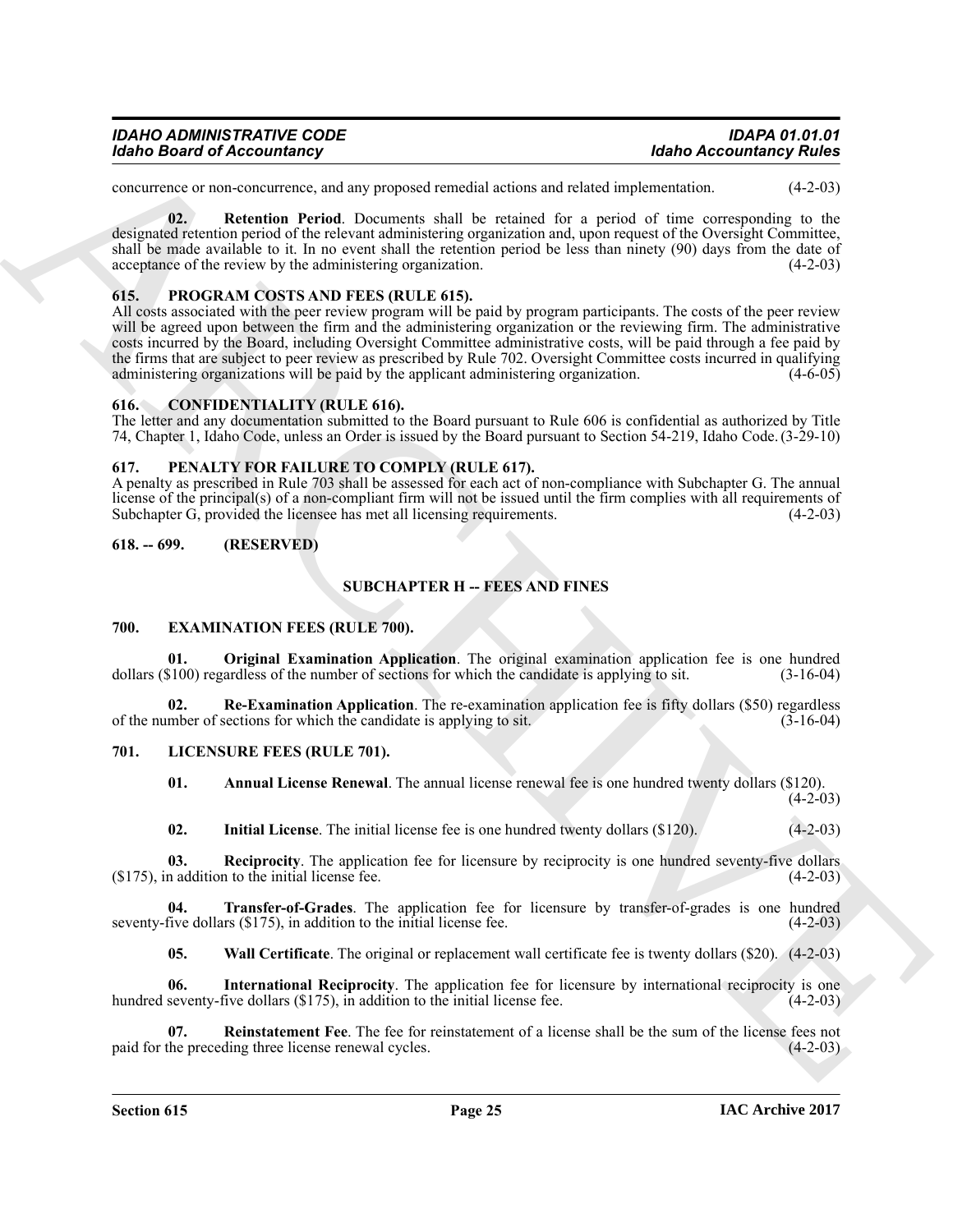| <b>IDAHO ADMINISTRATIVE CODE</b>  | <b>IDAPA 01.01.01</b>          |
|-----------------------------------|--------------------------------|
| <b>Idaho Board of Accountancy</b> | <b>Idaho Accountancy Rules</b> |

<span id="page-24-20"></span>concurrence or non-concurrence, and any proposed remedial actions and related implementation. (4-2-03)

**02. Retention Period**. Documents shall be retained for a period of time corresponding to the designated retention period of the relevant administering organization and, upon request of the Oversight Committee, shall be made available to it. In no event shall the retention period be less than ninety (90) days from the date of acceptance of the review by the administering organization. (4-2-03)

#### <span id="page-24-19"></span><span id="page-24-0"></span>**615. PROGRAM COSTS AND FEES (RULE 615).**

Moholo Beared of Accousing representation and the state of the state of the state of the state of the state of the state of the state of the state of the state of the state of the state of the state of the state of the s All costs associated with the peer review program will be paid by program participants. The costs of the peer review will be agreed upon between the firm and the administering organization or the reviewing firm. The administrative costs incurred by the Board, including Oversight Committee administrative costs, will be paid through a fee paid by the firms that are subject to peer review as prescribed by Rule 702. Oversight Committee costs incurred in qualifying administering organizations will be paid by the applicant administering organization. (4-6-05) administering organizations will be paid by the applicant administering organization.

#### <span id="page-24-6"></span><span id="page-24-1"></span>**616. CONFIDENTIALITY (RULE 616).**

The letter and any documentation submitted to the Board pursuant to Rule 606 is confidential as authorized by Title 74, Chapter 1, Idaho Code, unless an Order is issued by the Board pursuant to Section 54-219, Idaho Code. (3-29-10)

#### <span id="page-24-18"></span><span id="page-24-2"></span>**617. PENALTY FOR FAILURE TO COMPLY (RULE 617).**

A penalty as prescribed in Rule 703 shall be assessed for each act of non-compliance with Subchapter G. The annual license of the principal(s) of a non-compliant firm will not be issued until the firm complies with all requirements of Subchapter G, provided the license has met all licensing requirements. (4-2-03) Subchapter G, provided the licensee has met all licensing requirements.

#### <span id="page-24-3"></span>**618. -- 699. (RESERVED)**

#### **SUBCHAPTER H -- FEES AND FINES**

#### <span id="page-24-7"></span><span id="page-24-4"></span>**700. EXAMINATION FEES (RULE 700).**

<span id="page-24-8"></span>**01. Original Examination Application**. The original examination application fee is one hundred \$100) regardless of the number of sections for which the candidate is applying to sit. (3-16-04) dollars  $(\$100)$  regardless of the number of sections for which the candidate is applying to sit.

**Re-Examination Application**. The re-examination application fee is fifty dollars (\$50) regardless sections for which the candidate is applying to sit. (3-16-04) of the number of sections for which the candidate is applying to sit.

#### <span id="page-24-5"></span>**701. LICENSURE FEES (RULE 701).**

<span id="page-24-11"></span><span id="page-24-10"></span><span id="page-24-9"></span>**01. Annual License Renewal**. The annual license renewal fee is one hundred twenty dollars (\$120).

 $(4-2-03)$ 

<span id="page-24-16"></span><span id="page-24-14"></span><span id="page-24-12"></span>**02.** Initial License. The initial license fee is one hundred twenty dollars (\$120). (4-2-03)

**03. Reciprocity**. The application fee for licensure by reciprocity is one hundred seventy-five dollars  $(175)$ , in addition to the initial license fee.  $(4-2-03)$ 

**04. Transfer-of-Grades**. The application fee for licensure by transfer-of-grades is one hundred five dollars (\$175), in addition to the initial license fee. (4-2-03) seventy-five dollars  $(\$175)$ , in addition to the initial license fee.

<span id="page-24-17"></span><span id="page-24-15"></span><span id="page-24-13"></span>**05.** Wall Certificate. The original or replacement wall certificate fee is twenty dollars (\$20). (4-2-03)

**06.** International Reciprocity. The application fee for licensure by international reciprocity is one seventy-five dollars (\$175), in addition to the initial license fee. (4-2-03) hundred seventy-five dollars  $(\$175)$ , in addition to the initial license fee.

**07.** Reinstatement Fee. The fee for reinstatement of a license shall be the sum of the license fees not the preceding three license renewal cycles. (4-2-03) paid for the preceding three license renewal cycles.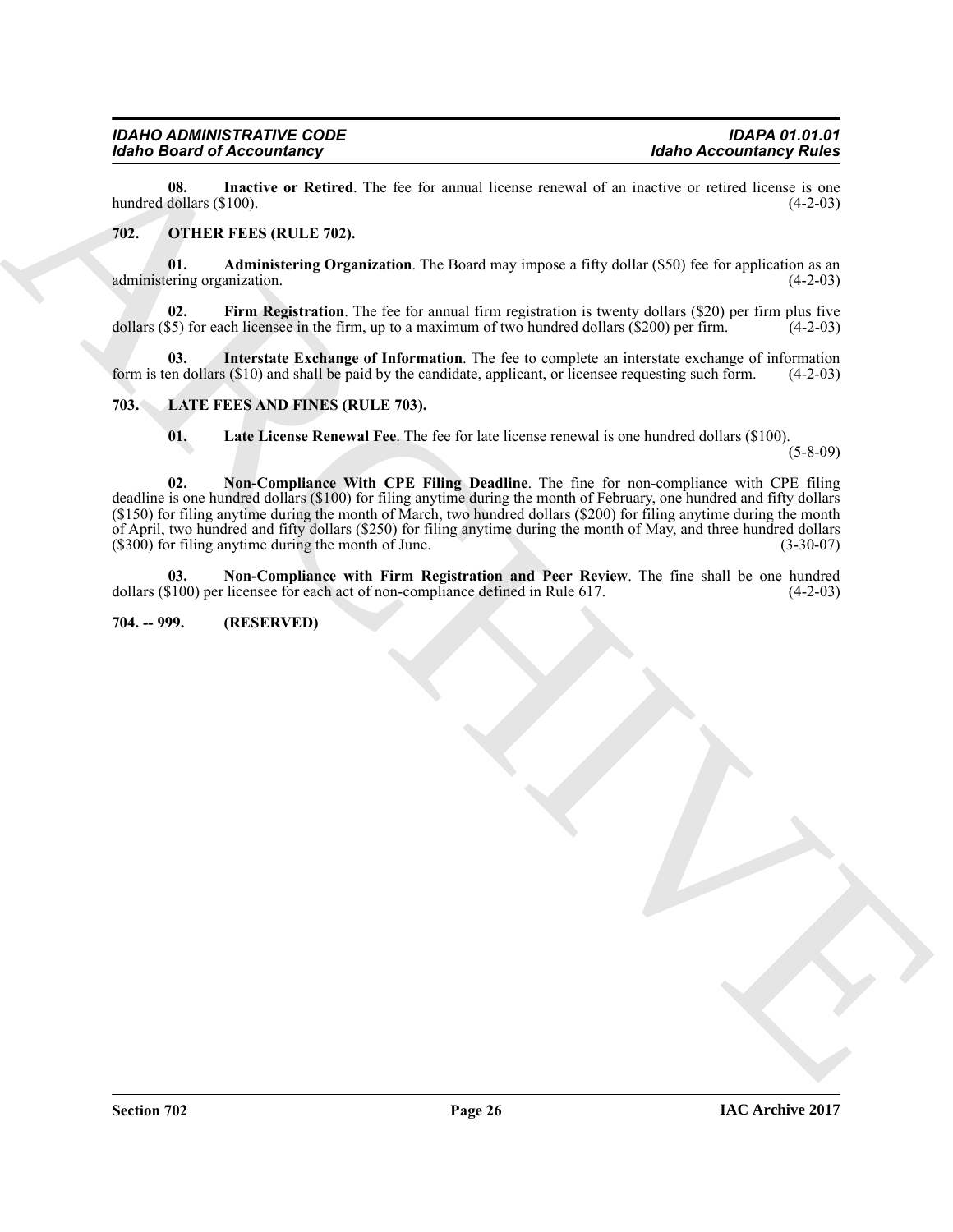<span id="page-25-7"></span>**08.** Inactive or Retired. The fee for annual license renewal of an inactive or retired license is one dollars (\$100). hundred dollars  $(\$100)$ .

#### <span id="page-25-9"></span><span id="page-25-8"></span><span id="page-25-0"></span>**702. OTHER FEES (RULE 702).**

**01. Administering Organization**. The Board may impose a fifty dollar (\$50) fee for application as an ering organization. (4-2-03) administering organization.

<span id="page-25-10"></span>**02.** Firm Registration. The fee for annual firm registration is twenty dollars (\$20) per firm plus five dollars  $(\$5)$  for each licensee in the firm, up to a maximum of two hundred dollars  $(\$200)$  per firm. (4-2-03)

**03.** Interstate Exchange of Information. The fee to complete an interstate exchange of information en dollars (\$10) and shall be paid by the candidate, applicant, or licensee requesting such form. (4-2-03) form is ten dollars  $(\$10)$  and shall be paid by the candidate, applicant, or licensee requesting such form.

#### <span id="page-25-1"></span>**703. LATE FEES AND FINES (RULE 703).**

<span id="page-25-11"></span><span id="page-25-5"></span><span id="page-25-4"></span><span id="page-25-3"></span>**01. Late License Renewal Fee**. The fee for late license renewal is one hundred dollars (\$100).

(5-8-09)

**Example of Accounts and Control of the Control of The Control of The Control of The Control of The Control of Control of Control of Control of Control of Control of Control of Control of Control of Control of Control of 02. Non-Compliance With CPE Filing Deadline**. The fine for non-compliance with CPE filing deadline is one hundred dollars (\$100) for filing anytime during the month of February, one hundred and fifty dollars (\$150) for filing anytime during the month of March, two hundred dollars (\$200) for filing anytime during the month of April, two hundred and fifty dollars (\$250) for filing anytime during the month of May, and three hundred dollars  $($300)$  for filing anytime during the month of June.

<span id="page-25-6"></span>**03.** Non-Compliance with Firm Registration and Peer Review. The fine shall be one hundred \$100) per licensee for each act of non-compliance defined in Rule 617. (4-2-03) dollars  $(\$100)$  per licensee for each act of non-compliance defined in Rule 617.

#### <span id="page-25-2"></span>**704. -- 999. (RESERVED)**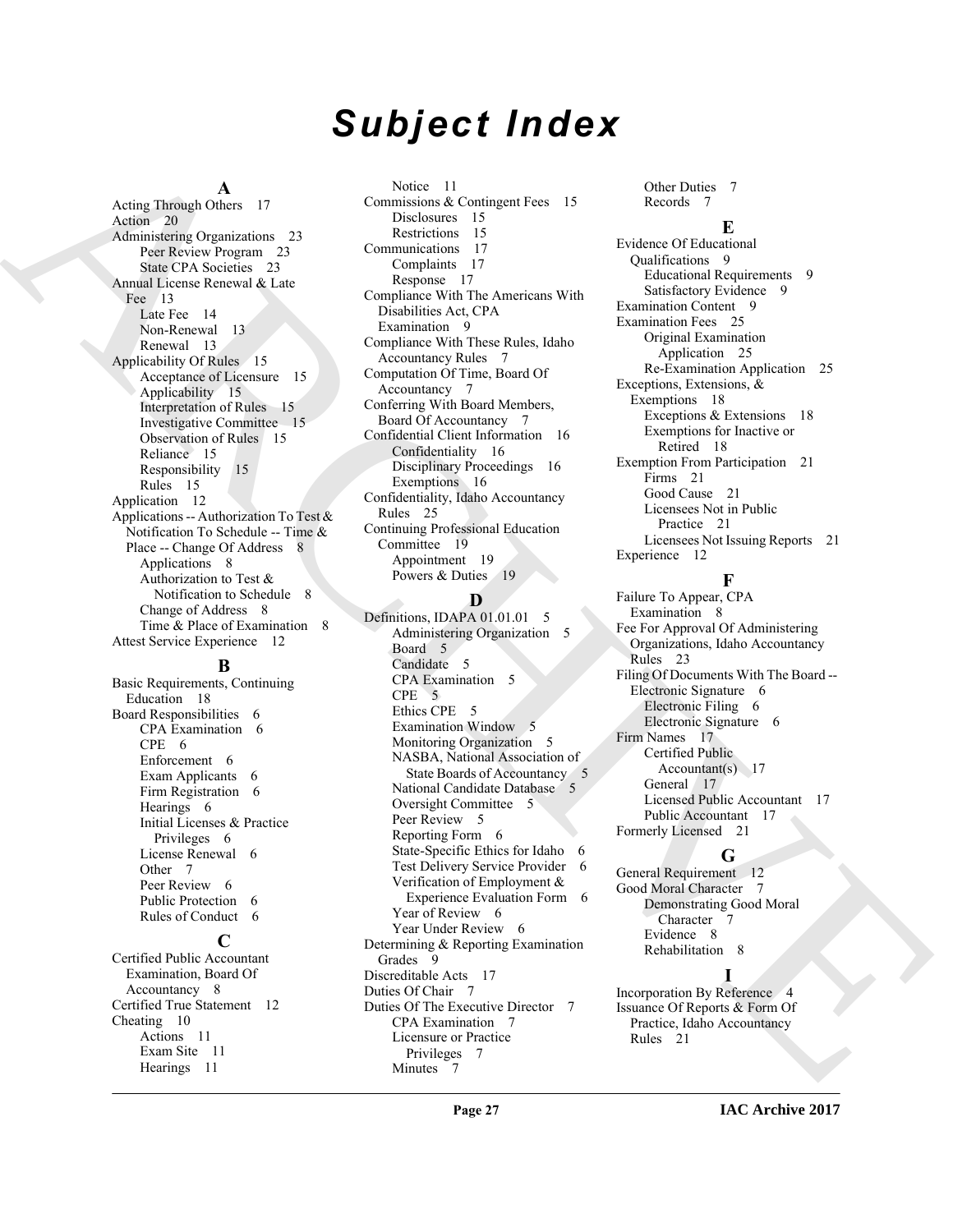# *Subject Index*

#### **A**

Acting Through Others 17 Action 20 Administering Organizations 23 Peer Review Program 23 State CPA Societies 23 Annual License Renewal & Late Fee 13 Late Fee 14 Non-Renewal 13 Renewal 13 Applicability Of Rules 15 Acceptance of Licensure 15 Applicability 15 Interpretation of Rules 15 Investigative Committee 15 Observation of Rules 15 Reliance 15 Responsibility 15 Rules 15 Application 12 Applications -- Authorization To Test & Notification To Schedule -- Time & Place -- Change Of Address 8 Applications 8 Authorization to Test & Notification to Schedule 8 Change of Address 8 Time & Place of Examination 8 Attest Service Experience 12

#### **B**

Basic Requirements, Continuing Education 18 Board Responsibilities 6 CPA Examination 6 CPE 6 Enforcement 6 Exam Applicants 6 Firm Registration 6 Hearings 6 Initial Licenses & Practice Privileges 6 License Renewal 6 Other<sub>7</sub> Peer Review 6 Public Protection 6 Rules of Conduct 6

### **C**

Certified Public Accountant Examination, Board Of Accountancy 8 Certified True Statement 12 Cheating 10 Actions 11 Exam Site 11 Hearings 11

Notice 11 Commissions & Contingent Fees 15 Disclosures 15 Restrictions 15 Communications 17 Complaints 17 Response 17 Compliance With The Americans With Disabilities Act, CPA Examination 9 Compliance With These Rules, Idaho Accountancy Rules 7 Computation Of Time, Board Of Accountancy 7 Conferring With Board Members, Board Of Accountancy 7 Confidential Client Information 16 Confidentiality 16 Disciplinary Proceedings 16 Exemptions 16 Confidentiality, Idaho Accountancy Rules 25 Continuing Professional Education Committee 19 Appointment 19 Powers & Duties 19

#### **D**

Artig Logard [C](#page-24-6)hevrolet 1 (Merchans 7 (Merchans 7 (Merchans 7 (Merchans 7 (Merchans 7 (Merchans 7 (Merchans 7 (Merchans 7 (Merchans 7 (Merchans 7 (Merchans 7 (Merchans 7 (Merchans 7 (Merchans 7 (Merchans 7 (Merchans 7 (Mer Definitions, IDAPA 01.01.01 5 Administering Organization 5 Board 5 Candidate 5 CPA Examination 5 CPE 5 Ethics CPE 5 Examination Window 5 Monitoring Organization 5 NASBA, National Association of State Boards of Accountancy 5 National Candidate Database 5 Oversight Committee 5 Peer Review 5 Reporting Form 6 State-Specific Ethics for Idaho 6 Test Delivery Service Provider 6 Verification of Employment & Experience Evaluation Form 6 Year of Review 6 Year Under Review 6 Determining & Reporting Examination Grades 9 Discreditable Acts 17 Duties Of Chair 7 Duties Of The Executive Director 7 CPA Examination 7 Licensure or Practice Privileges 7 Minutes 7

Other Duties 7 Records 7

#### **E**

Evidence Of Educational Qualifications 9 Educational Requirements 9 Satisfactory Evidence 9 Examination Content 9 Examination Fees 25 Original Examination Application 25 Re-Examination Application 25 Exceptions, Extensions, & Exemptions 18 Exceptions & Extensions 18 Exemptions for Inactive or Retired 18 Exemption From Participation 21 Firms 21 Good Cause 21 Licensees Not in Public Practice 21 Licensees Not Issuing Reports 21 Experience 12

#### **F**

Failure To Appear, CPA Examination 8 Fee For Approval Of Administering Organizations, Idaho Accountancy Rules 23 Filing Of Documents With The Board -- Electronic Signature 6 Electronic Filing 6 Electronic Signature 6 Firm Names 17 Certified Public Accountant(s) 17 General 17 Licensed Public Accountant 17 Public Accountant 17 Formerly Licensed 21

#### **G**

General Requirement 12 Good Moral Character 7 Demonstrating Good Moral Character Evidence 8 Rehabilitation 8

**I** Incorporation By Reference 4 Issuance Of Reports & Form Of Practice, Idaho Accountancy Rules 21